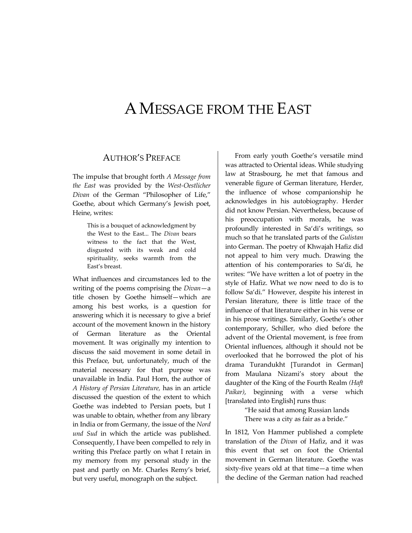# AMESSAGE FROM THE EAST

### AUTHOR'S PREFACE

The impulse that brought forth *A Message from the East* was provided by the *West‐Oestlicher Divan* of the German "Philosopher of Life," Goethe, about which Germany's Jewish poet, Heine, writes:

> This is a bouquet of acknowledgment by the West to the East... The *Divan* bears witness to the fact that the West, disgusted with its weak and cold spirituality, seeks warmth from the East's breast.

What influences and circumstances led to the writing of the poems comprising the *Divan*—a title chosen by Goethe himself—which are among his best works, is a question for answering which it is necessary to give a brief account of the movement known in the history of German literature as the Oriental movement. It was originally my intention to discuss the said movement in some detail in this Preface, but, unfortunately, much of the material necessary for that purpose was unavailable in India. Paul Horn, the author of *A History of Persian Literature,* has in an article discussed the question of the extent to which Goethe was indebted to Persian poets, but I was unable to obtain, whether from any library in India or from Germany, the issue of the *Nord und Sud* in which the article was published. Consequently, I have been compelled to rely in writing this Preface partly on what I retain in my memory from my personal study in the past and partly on Mr. Charles Remy's brief, but very useful, monograph on the subject.

From early youth Goethe's versatile mind was attracted to Oriental ideas. While studying law at Strasbourg, he met that famous and venerable figure of German literature, Herder, the influence of whose companionship he acknowledges in his autobiography. Herder did not know Persian. Nevertheless, because of his preoccupation with morals, he was profoundly interested in Sa'di's writings, so much so that he translated parts of the *Gulistan* into German. The poetry of Khwajah Hafiz did not appeal to him very much. Drawing the attention of his contemporaries to Sa'di, he writes: "We have written a lot of poetry in the style of Hafiz. What we now need to do is to follow Sa'di." However, despite his interest in Persian literature, there is little trace of the influence of that literature either in his verse or in his prose writings. Similarly, Goethe's other contemporary, Schiller, who died before the advent of the Oriental movement, is free from Oriental influences, although it should not be overlooked that he borrowed the plot of his drama Turandukht [Turandot in German] from Maulana Nizami's story about the daughter of the King of the Fourth Realm *(Haft Paikar)*, beginning with a verse which [translated into English] runs thus:

> "He said that among Russian lands There was a city as fair as a bride."

In 1812, Von Hammer published a complete translation of the *Divan* of Hafiz, and it was this event that set on foot the Oriental movement in German literature. Goethe was sixty‐five years old at that time—a time when the decline of the German nation had reached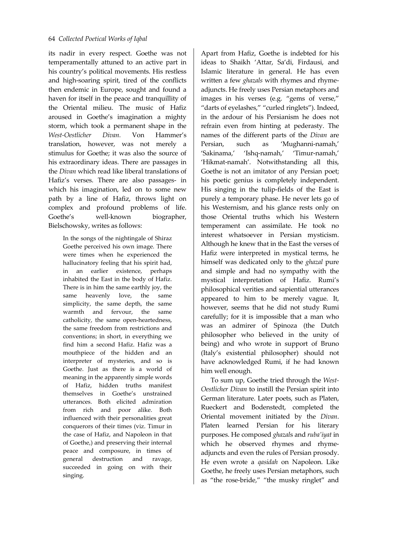its nadir in every respect. Goethe was not temperamentally attuned to an active part in his country's political movements. His restless and high‐soaring spirit, tired of the conflicts then endemic in Europe, sought and found a haven for itself in the peace and tranquillity of the Oriental milieu. The music of Hafiz aroused in Goethe's imagination a mighty storm, which took a permanent shape in the *West‐Oestlicher Divan.* Von Hammer's translation, however, was not merely a stimulus for Goethe; it was also the source of his extraordinary ideas. There are passages in the *Divan* which read like liberal translations of Hafiz's verses. There are also passages‐ in which his imagination, led on to some new path by a line of Hafiz, throws light on complex and profound problems of life. Goethe's well-known biographer, Bielschowsky, writes as follows:

In the songs of the nightingale of Shiraz Goethe perceived his own image. There were times when he experienced the hallucinatory feeling that his spirit had, in an earlier existence, perhaps inhabited the East in the body of Hafiz. There is in him the same earthly joy, the same heavenly love, the same simplicity, the same depth, the same warmth and fervour, the same catholicity, the same open‐heartedness, the same freedom from restrictions and conventions; in short, in everything we find him a second Hafiz. Hafiz was a mouthpiece of the hidden and an interpreter of mysteries, and so is Goethe. Just as there is a world of meaning in the apparently simple words of Hafiz, hidden truths manifest themselves in Goethe's unstrained utterances. Both elicited admiration from rich and poor alike. Both influenced with their personalities great conquerors of their times (viz. Timur in the case of Hafiz, and Napoleon in that of Goethe,) and preserving their internal peace and composure, in times of general destruction and ravage, succeeded in going on with their singing.

Apart from Hafiz, Goethe is indebted for his ideas to Shaikh 'Attar, Sa'di, Firdausi, and Islamic literature in general. He has even written a few *ghazals* with rhymes and rhymeadjuncts. He freely uses Persian metaphors and images in his verses (e.g. "gems of verse," "darts of eyelashes," "curled ringlets"). Indeed, in the ardour of his Persianism he does not refrain even from hinting at pederasty. The names of the different parts of the *Divan* are Persian, such as 'Mughanni‐namah,' 'Sakinama,' 'Ishq‐namah,' 'Timur‐namah,' 'Hikmat-namah'. Notwithstanding all this, Goethe is not an imitator of any Persian poet; his poetic genius is completely independent. His singing in the tulip‐fields of the East is purely a temporary phase. He never lets go of his Westernism, and his glance rests only on those Oriental truths which his Western temperament can assimilate. He took no interest whatsoever in Persian mysticism. Although he knew that in the East the verses of Hafiz were interpreted in mystical terms, he himself was dedicated only to the *ghazal* pure and simple and had no sympathy with the mystical interpretation of Hafiz. Rumi's philosophical verities and sapiential utterances appeared to him to be merely vague. It, however, seems that he did not study Rumi carefully; for it is impossible that a man who was an admirer of Spinoza (the Dutch philosopher who believed in the unity of being) and who wrote in support of Bruno (Italy's existential philosopher) should not have acknowledged Rumi, if he had known him well enough.

To sum up, Goethe tried through the *West‐ Oestlicher Divan* to instill the Persian spirit into German literature. Later poets, such as Platen, Rueckert and Bodenstedt, completed the Oriental movement initiated by the *Divan*. Platen learned Persian for his literary purposes. He composed *ghazal*s and *ruba'iyat* in which he observed rhymes and rhymeadjuncts and even the rules of Persian prosody. He even wrote a *qasidah* on Napoleon. Like Goethe, he freely uses Persian metaphors, such as "the rose‐bride," "the musky ringlet" and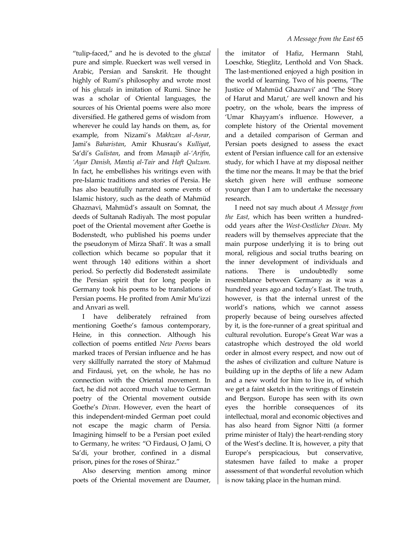"tulip‐faced," and he is devoted to the *ghazal* pure and simple. Rueckert was well versed in Arabic, Persian and Sanskrit. He thought highly of Rumi's philosophy and wrote most of his *ghazals* in imitation of Rumi. Since he was a scholar of Oriental languages, the sources of his Oriental poems were also more diversified. He gathered gems of wisdom from wherever he could lay hands on them, as, for example, from Nizami's *Makhzan al‐Asrar,* Jami's *Baharistan*, Amir Khusrau's *Kulliyat*, Sa'di's *Gulistan*, and from *Manaqib al‐'Arifin, 'Ayar Danish, Mantiq al‐Tair* and *Haft Qulzum.* In fact, he embellishes his writings even with pre‐Islamic traditions and stories of Persia. He has also beautifully narrated some events of Islamic history, such as the death of Mahmüd Ghaznavi, Mahmüd's assault on Somnat, the deeds of Sultanah Radiyah. The most popular poet of the Oriental movement after Goethe is Bodenstedt, who published his poems under the pseudonym of Mirza Shafi'. It was a small collection which became so popular that it went through 140 editions within a short period. So perfectly did Bodenstedt assimilate the Persian spirit that for long people in Germany took his poems to be translations of Persian poems. He profited from Amir Mu'izzi and Anvari as well.

I have deliberately refrained from mentioning Goethe's famous contemporary, Heine, in this connection. Although his collection of poems entitled *New Poems* bears marked traces of Persian influence and he has very skillfully narrated the story of Mahmud and Firdausi, yet, on the whole, he has no connection with the Oriental movement. In fact, he did not accord much value to German poetry of the Oriental movement outside Goethe's *Divan*. However, even the heart of this independent‐minded German poet could not escape the magic charm of Persia. Imagining himself to be a Persian poet exiled to Germany, he writes: "O Firdausi, O Jami, O Sa'di, your brother, confined in a dismal prison, pines for the roses of Shiraz."

Also deserving mention among minor poets of the Oriental movement are Daumer,

the imitator of Hafiz, Hermann Stahl, Loeschke, Stieglitz, Lenthold and Von Shack. The last-mentioned enjoyed a high position in the world of learning. Two of his poems, 'The Justice of Mahmüd Ghaznavi' and 'The Story of Harut and Marut,' are well known and his poetry, on the whole, bears the impress of 'Umar Khayyam's influence. However, a complete history of the Oriental movement and a detailed comparison of German and Persian poets designed to assess the exact extent of Persian influence call for an extensive study, for which I have at my disposal neither the time nor the means. It may be that the brief sketch given here will enthuse someone younger than I am to undertake the necessary research.

I need not say much about *A Message from the East,* which has been written a hundred‐ odd years after the *West‐Oestlicher Divan*. My readers will by themselves appreciate that the main purpose underlying it is to bring out moral, religious and social truths bearing on the inner development of individuals and nations. There is undoubtedly some resemblance between Germany as it was a hundred years ago and today's East. The truth, however, is that the internal unrest of the world's nations, which we cannot assess properly because of being ourselves affected by it, is the fore‐runner of a great spiritual and cultural revolution. Europe's Great War was a catastrophe which destroyed the old world order in almost every respect, and now out of the ashes of civilization and culture Nature is building up in the depths of life a new Adam and a new world for him to live in, of which we get a faint sketch in the writings of Einstein and Bergson. Europe has seen with its own eyes the horrible consequences of its intellectual, moral and economic objectives and has also heard from Signor Nitti (a former prime minister of Italy) the heart‐rending story of the West's decline. It is, however, a pity that Europe's perspicacious, but conservative, statesmen have failed to make a proper assessment of that wonderful revolution which is now taking place in the human mind.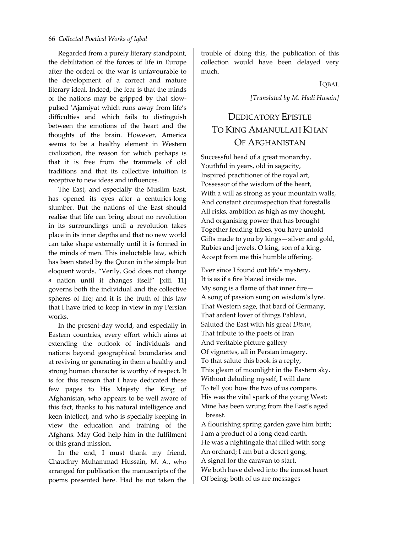Regarded from a purely literary standpoint, the debilitation of the forces of life in Europe after the ordeal of the war is unfavourable to the development of a correct and mature literary ideal. Indeed, the fear is that the minds of the nations may be gripped by that slow‐ pulsed 'Ajamiyat which runs away from life's difficulties and which fails to distinguish between the emotions of the heart and the thoughts of the brain. However, America seems to be a healthy element in Western civilization, the reason for which perhaps is that it is free from the trammels of old traditions and that its collective intuition is receptive to new ideas and influences.

The East, and especially the Muslim East, has opened its eyes after a centuries-long slumber. But the nations of the East should realise that life can bring about no revolution in its surroundings until a revolution takes place in its inner depths and that no new world can take shape externally until it is formed in the minds of men. This ineluctable law, which has been stated by the Quran in the simple but eloquent words, "Verily, God does not change a nation until it changes itself" [xiii. 11] governs both the individual and the collective spheres of life; and it is the truth of this law that I have tried to keep in view in my Persian works.

In the present‐day world, and especially in Eastern countries, every effort which aims at extending the outlook of individuals and nations beyond geographical boundaries and at reviving or generating in them a healthy and strong human character is worthy of respect. It is for this reason that I have dedicated these few pages to His Majesty the King of Afghanistan, who appears to be well aware of this fact, thanks to his natural intelligence and keen intellect, and who is specially keeping in view the education and training of the Afghans. May God help him in the fulfilment of this grand mission.

In the end, I must thank my friend, Chaudhry Muhammad Hussain, M. A., who arranged for publication the manuscripts of the poems presented here. Had he not taken the

trouble of doing this, the publication of this collection would have been delayed very much.

IQBAL

*[Translated by M. Hadi Husain]*

# DEDICATORY EPISTLE TO KING AMANULLAH KHAN OF AFGHANISTAN

Successful head of a great monarchy, Youthful in years, old in sagacity, Inspired practitioner of the royal art, Possessor of the wisdom of the heart, With a will as strong as your mountain walls, And constant circumspection that forestalls All risks, ambition as high as my thought, And organising power that has brought Together feuding tribes, you have untold Gifts made to you by kings—silver and gold, Rubies and jewels. O king, son of a king, Accept from me this humble offering.

Ever since I found out life's mystery, It is as if a fire blazed inside me. My song is a flame of that inner fire— A song of passion sung on wisdom's lyre. That Western sage, that bard of Germany, That ardent lover of things Pahlavi, Saluted the East with his great *Divan*, That tribute to the poets of Iran And veritable picture gallery Of vignettes, all in Persian imagery. To that salute this book is a reply, This gleam of moonlight in the Eastern sky. Without deluding myself, I will dare To tell you how the two of us compare. His was the vital spark of the young West; Mine has been wrung from the East's aged breast.

A flourishing spring garden gave him birth; I am a product of a long dead earth. He was a nightingale that filled with song An orchard; I am but a desert gong, A signal for the caravan to start. We both have delved into the inmost heart Of being; both of us are messages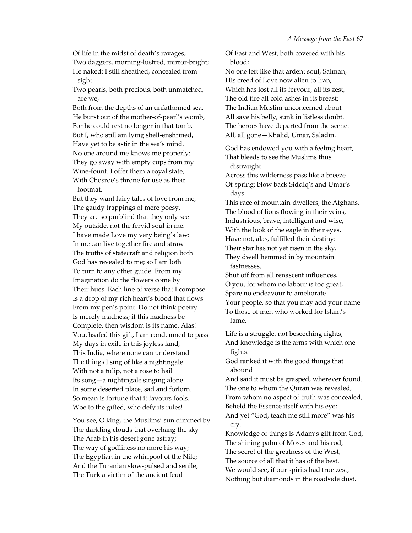Of life in the midst of death's ravages;

Two daggers, morning‐lustred, mirror‐bright; He naked; I still sheathed, concealed from sight.

Two pearls, both precious, both unmatched, are we,

Both from the depths of an unfathomed sea. He burst out of the mother‐of‐pearl's womb, For he could rest no longer in that tomb. But I, who still am lying shell‐enshrined, Have yet to be astir in the sea's mind. No one around me knows me properly: They go away with empty cups from my Wine‐fount. I offer them a royal state, With Chosroe's throne for use as their footmat.

But they want fairy tales of love from me, The gaudy trappings of mere poesy. They are so purblind that they only see My outside, not the fervid soul in me. I have made Love my very being's law: In me can live together fire and straw The truths of statecraft and religion both God has revealed to me; so I am loth To turn to any other guide. From my Imagination do the flowers come by Their hues. Each line of verse that I compose Is a drop of my rich heart's blood that flows From my pen's point. Do not think poetry Is merely madness; if this madness be Complete, then wisdom is its name. Alas! Vouchsafed this gift, I am condemned to pass My days in exile in this joyless land, This India, where none can understand The things I sing of like a nightingale With not a tulip, not a rose to hail Its song—a nightingale singing alone In some deserted place, sad and forlorn. So mean is fortune that it favours fools. Woe to the gifted, who defy its rules!

You see, O king, the Muslims' sun dimmed by The darkling clouds that overhang the sky— The Arab in his desert gone astray; The way of godliness no more his way; The Egyptian in the whirlpool of the Nile; And the Turanian slow‐pulsed and senile; The Turk a victim of the ancient feud

Of East and West, both covered with his blood;

No one left like that ardent soul, Salman; His creed of Love now alien to Iran, Which has lost all its fervour, all its zest, The old fire all cold ashes in its breast; The Indian Muslim unconcerned about All save his belly, sunk in listless doubt. The heroes have departed from the scene: All, all gone—Khalid, Umar, Saladin.

God has endowed you with a feeling heart, That bleeds to see the Muslims thus distraught.

Across this wilderness pass like a breeze Of spring; blow back Siddiq's and Umar's days.

This race of mountain‐dwellers, the Afghans, The blood of lions flowing in their veins, Industrious, brave, intelligent and wise, With the look of the eagle in their eyes, Have not, alas, fulfilled their destiny: Their star has not yet risen in the sky. They dwell hemmed in by mountain fastnesses,

Shut off from all renascent influences. O you, for whom no labour is too great, Spare no endeavour to ameliorate Your people, so that you may add your name To those of men who worked for Islam's fame.

Life is a struggle, not beseeching rights; And knowledge is the arms with which one fights.

God ranked it with the good things that abound

And said it must be grasped, wherever found. The one to whom the Quran was revealed, From whom no aspect of truth was concealed, Beheld the Essence itself with his eye; And yet "God, teach me still more" was his cry.

Knowledge of things is Adam's gift from God, The shining palm of Moses and his rod, The secret of the greatness of the West, The source of all that it has of the best. We would see, if our spirits had true zest, Nothing but diamonds in the roadside dust.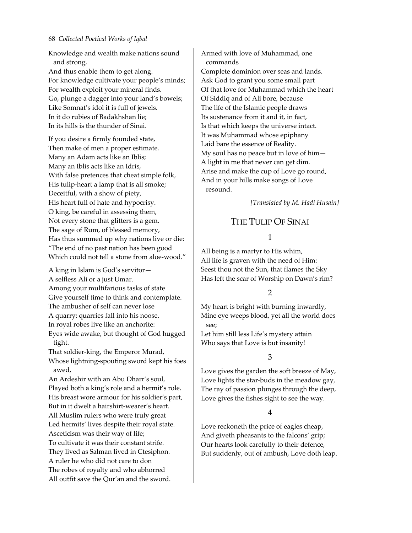Knowledge and wealth make nations sound and strong,

And thus enable them to get along. For knowledge cultivate your people's minds; For wealth exploit your mineral finds. Go, plunge a dagger into your land's bowels; Like Somnat's idol it is full of jewels. In it do rubies of Badakhshan lie; In its hills is the thunder of Sinai.

If you desire a firmly founded state, Then make of men a proper estimate. Many an Adam acts like an Iblis; Many an Iblis acts like an Idris, With false pretences that cheat simple folk, His tulip-heart a lamp that is all smoke; Deceitful, with a show of piety, His heart full of hate and hypocrisy. O king, be careful in assessing them, Not every stone that glitters is a gem. The sage of Rum, of blessed memory, Has thus summed up why nations live or die: "The end of no past nation has been good Which could not tell a stone from aloe‐wood."

A king in Islam is God's servitor— A selfless Ali or a just Umar. Among your multifarious tasks of state Give yourself time to think and contemplate. The ambusher of self can never lose A quarry: quarries fall into his noose. In royal robes live like an anchorite: Eyes wide awake, but thought of God hugged tight. That soldier‐king, the Emperor Murad, Whose lightning‐spouting sword kept his foes awed, An Ardeshir with an Abu Dharr's soul, Played both a king's role and a hermit's role. His breast wore armour for his soldier's part, But in it dwelt a hairshirt‐wearer's heart. All Muslim rulers who were truly great Led hermits' lives despite their royal state. Asceticism was their way of life; To cultivate it was their constant strife.

They lived as Salman lived in Ctesiphon. A ruler he who did not care to don The robes of royalty and who abhorred All outfit save the Qur'an and the sword. Armed with love of Muhammad, one commands Complete dominion over seas and lands. Ask God to grant you some small part Of that love for Muhammad which the heart Of Siddiq and of Ali bore, because The life of the Islamic people draws Its sustenance from it and it, in fact, Is that which keeps the universe intact. It was Muhammad whose epiphany Laid bare the essence of Reality. My soul has no peace but in love of him— A light in me that never can get dim. Arise and make the cup of Love go round, And in your hills make songs of Love resound.

*[Translated by M. Hadi Husain]*

# THE TULIP OF SINAI

### 1

All being is a martyr to His whim, All life is graven with the need of Him: Seest thou not the Sun, that flames the Sky Has left the scar of Worship on Dawn's rim?

### 2

My heart is bright with burning inwardly, Mine eye weeps blood, yet all the world does see;

Let him still less Life's mystery attain Who says that Love is but insanity!

### 3

Love gives the garden the soft breeze of May, Love lights the star‐buds in the meadow gay, The ray of passion plunges through the deep, Love gives the fishes sight to see the way.

### 4

Love reckoneth the price of eagles cheap, And giveth pheasants to the falcons' grip; Our hearts look carefully to their defence, But suddenly, out of ambush, Love doth leap.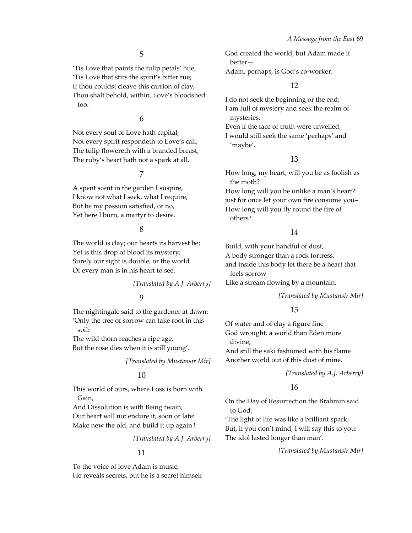'Tis Love that paints the tulip petals' hue, 'Tis Love that stirs the spirit's bitter rue; If thou couldst cleave this carrion of clay, Thou shalt behold, within, Love's bloodshed too.

6

Not every soul of Love hath capital, Not every spirit respondeth to Love's call; The tulip flowereth with a branded breast, The ruby's heart hath not a spark at all.

7

A spent scent in the garden I suspire, I know not what I seek, what I require, But be my passion satisfied, or no, Yet here I burn, a martyr to desire.

8

The world is clay; our hearts its harvest be; Yet is this drop of blood its mystery; Surely our sight is double, or the world Of every man is in his heart to see.

*[Translated by A.J. Arberry]*

9

The nightingale said to the gardener at dawn: 'Only the tree of sorrow can take root in this soil:

The wild thorn reaches a ripe age, But the rose dies when it is still young'.

*[Translated by Mustansir Mir]*

# 10

This world of ours, where Loss is born with Gain,

And Dissolution is with Being twain, Our heart will not endure it, soon or late: Make new the old, and build it up again !

*[Translated by A.J. Arberry]*

# 11

To the voice of love Adam is music; He reveals secrets, but he is a secret himself God created the world, but Adam made it better—

Adam, perhaps, is God's co-worker.

# 12

I do not seek the beginning or the end; I am full of mystery and seek the realm of mysteries.

Even if the face of truth were unveiled, I would still seek the same 'perhaps' and 'maybe'.

# 13

How long, my heart, will you be as foolish as the moth? How long will you be unlike a man's heart? just for once let your own fire consume you– How long will you fly round the fire of others?

# 14

Build, with your handful of dust, A body stronger than a rock fortress, and inside this body let there be a heart that feels sorrow –

Like a stream flowing by a mountain.

*[Translated by Mustansir Mir]*

# 15

Of water and of clay a figure fine God wrought, a world than Eden more divine, And still the saki fashioned with his flame

Another world out of this dust of mine.

*[Translated by A.J. Arberry]*

# 16

On the Day of Resurrection the Brahmin said to God:

'The light of life was like a brilliant spark; But, if you don't mind, I will say this to you: The idol lasted longer than man'.

*[Translated by Mustansir Mir]*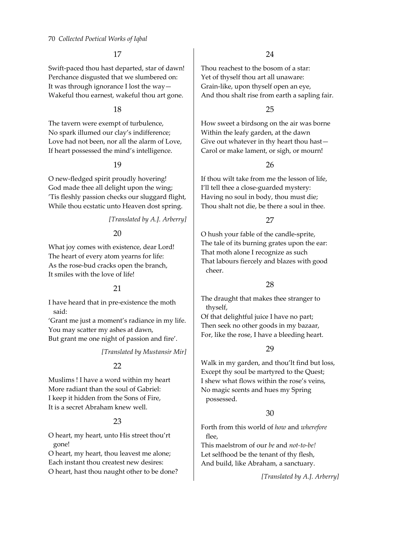Swift‐paced thou hast departed, star of dawn! Perchance disgusted that we slumbered on: It was through ignorance I lost the way— Wakeful thou earnest, wakeful thou art gone.

#### 18

The tavern were exempt of turbulence, No spark illumed our clay's indifference; Love had not been, nor all the alarm of Love, If heart possessed the mind's intelligence.

### 19

O new‐fledged spirit proudly hovering! God made thee all delight upon the wing; 'Tis fleshly passion checks our sluggard flight, While thou ecstatic unto Heaven dost spring.

### *[Translated by A.J. Arberry]*

# 20

What joy comes with existence, dear Lord! The heart of every atom yearns for life: As the rose‐bud cracks open the branch, It smiles with the love of life!

# 21

I have heard that in pre‐existence the moth said:

'Grant me just a moment's radiance in my life. You may scatter my ashes at dawn, But grant me one night of passion and fire'.

*[Translated by Mustansir Mir]*

### 22

Muslims ! I have a word within my heart More radiant than the soul of Gabriel: I keep it hidden from the Sons of Fire, It is a secret Abraham knew well.

# 23

O heart, my heart, unto His street thou'rt gone!

O heart, my heart, thou leavest me alone; Each instant thou createst new desires: O heart, hast thou naught other to be done?

### 24

Thou reachest to the bosom of a star: Yet of thyself thou art all unaware: Grain‐like, upon thyself open an eye, And thou shalt rise from earth a sapling fair.

### 25

How sweet a birdsong on the air was borne Within the leafy garden, at the dawn Give out whatever in thy heart thou hast— Carol or make lament, or sigh, or mourn!

### 26

If thou wilt take from me the lesson of life, I'll tell thee a close‐guarded mystery: Having no soul in body, thou must die; Thou shalt not die, be there a soul in thee.

### 27

O hush your fable of the candle‐sprite, The tale of its burning grates upon the ear: That moth alone I recognize as such That labours fiercely and blazes with good cheer.

### 28

The draught that makes thee stranger to thyself,

Of that delightful juice I have no part; Then seek no other goods in my bazaar, For, like the rose, I have a bleeding heart.

# 29

Walk in my garden, and thou'lt find but loss, Except thy soul be martyred to the Quest; I shew what flows within the rose's veins, No magic scents and hues my Spring possessed.

### 30

Forth from this world of *how* and *wherefore* flee,

This maelstrom of our *be* and *not‐to‐be!* Let selfhood be the tenant of thy flesh, And build, like Abraham, a sanctuary.

*[Translated by A.J. Arberry]*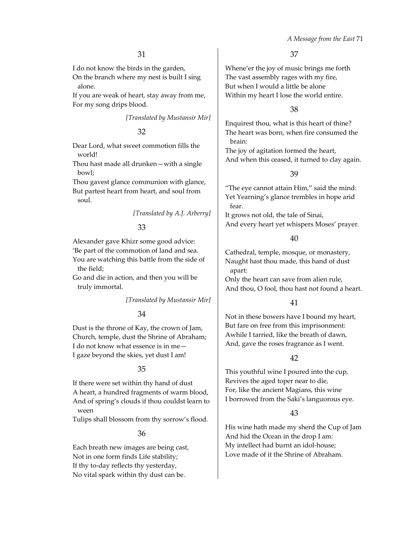I do not know the birds in the garden,

On the branch where my nest is built I sing alone.

If you are weak of heart, stay away from me, For my song drips blood.

*[Translated by Mustansir Mir]*

### 32

Dear Lord, what sweet commotion fills the world!

Thou hast made all drunken—with a single bowl;

Thou gavest glance communion with glance, But partest heart from heart, and soul from soul.

*[Translated by A.J. Arberry]*

### 33

Alexander gave Khizr some good advice: 'Be part of the commotion of land and sea. You are watching this battle from the side of the field;

Go and die in action, and then you will be truly immortal.

*[Translated by Mustansir Mir]*

### 34

Dust is the throne of Kay, the crown of Jam, Church, temple, dust the Shrine of Abraham; I do not know what essence is in me— I gaze beyond the skies, yet dust I am!

### 35

If there were set within thy hand of dust A heart, a hundred fragments of warm blood, And of spring's clouds if thou couldst learn to ween

Tulips shall blossom from thy sorrow's flood.

### 36

Each breath new images are being cast, Not in one form finds Life stability; If thy to-day reflects thy yesterday, No vital spark within thy dust can be.

37

Whene'er the joy of music brings me forth The vast assembly rages with my fire, But when I would a little be alone Within my heart I lose the world entire.

### 38

Enquirest thou, what is this heart of thine? The heart was born, when fire consumed the brain:

The joy of agitation formed the heart, And when this ceased, it turned to clay again.

### 39

"The eye cannot attain Him," said the mind: Yet Yearning's glance trembles in hope arid fear.

It grows not old, the tale of Sinai, And every heart yet whispers Moses' prayer.

#### 40

Cathedral, temple, mosque, or monastery, Naught hast thou made, this hand of dust apart:

Only the heart can save from alien rule, And thou, O fool, thou hast not found a heart.

### 41

Not in these bowers have I bound my heart, But fare on free from this imprisonment: Awhile I tarried, like the breath of dawn, And, gave the roses fragrance as I went.

# 42

This youthful wine I poured into the cup, Revives the aged toper near to die, For, like the ancient Magians, this wine I borrowed from the Saki's languorous eye.

# 43

His wine hath made my sherd the Cup of Jam And hid the Ocean in the drop I am: My intellect had burnt an idol‐house; Love made of it the Shrine of Abraham.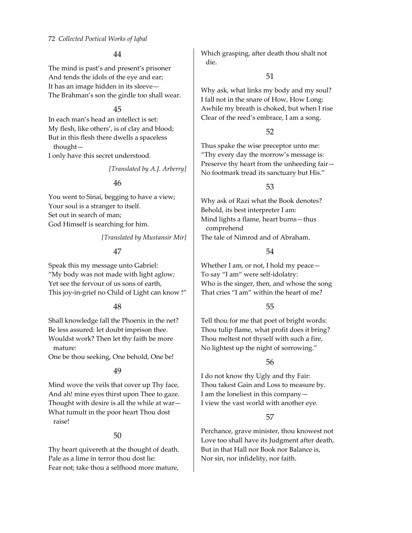The mind is past's and present's prisoner And tends the idols of the eye and ear; It has an image hidden in its sleeve— The Brahman's son the girdle too shall wear.

#### 45

In each man's head an intellect is set: My flesh, like others', is of clay and blood; But in this flesh there dwells a spaceless thought— I only have this secret understood.

*[Translated by A.J. Arberry]*

### 46

You went to Sinai, begging to have a view; Your soul is a stranger to itself. Set out in search of man; God Himself is searching for him.

*[Translated by Mustansir Mir]*

# 47

Speak this my message unto Gabriel: "My body was not made with light aglow; Yet see the fervour of us sons of earth, This joy‐in‐grief no Child of Light can know !"

### 48

Shall knowledge fall the Phoenix in the net? Be less assured: let doubt imprison thee. Wouldst work? Then let thy faith be more mature:

One be thou seeking, One behold, One be!

### 49

Mind wove the veils that cover up Thy face, And ah! mine eyes thirst upon Thee to gaze. Thought with desire is all the while at war— What tumult in the poor heart Thou dost raise!

### 50

Thy heart quivereth at the thought of death. Pale as a lime in terror thou dost lie: Fear not; take thou a selfhood more mature, Which grasping, after death thou shalt not die.

### 51

Why ask, what links my body and my soul? I fall not in the snare of How, How Long: Awhile my breath is choked, but when I rise Clear of the reed's embrace, I am a song.

### 52

Thus spake the wise preceptor unto me: "Thy every day the morrow's message is: Preserve thy heart from the unheeding fair— No footmark tread its sanctuary but His."

# 53

Why ask of Razi what the Book denotes? Behold, its best interpreter I am: Mind lights a flame, heart burns—thus comprehend The tale of Nimrod and of Abraham.

# 54

Whether I am, or not, I hold my peace— To say "I am" were self‐idolatry: Who is the singer, then, and whose the song That cries "I am" within the heart of me?

# 55

Tell thou for me that poet of bright words: Thou tulip flame, what profit does it bring? Thou meltest not thyself with such a fire, No lightest up the night of sorrowing."

# 56

I do not know thy Ugly and thy Fair: Thou takest Gain and Loss to measure by. I am the loneliest in this company— I view the vast world with another eye.

# 57

Perchance, grave minister, thou knowest not Love too shall have its Judgment after death, But in that Hall nor Book nor Balance is, Nor sin, nor infidelity, nor faith.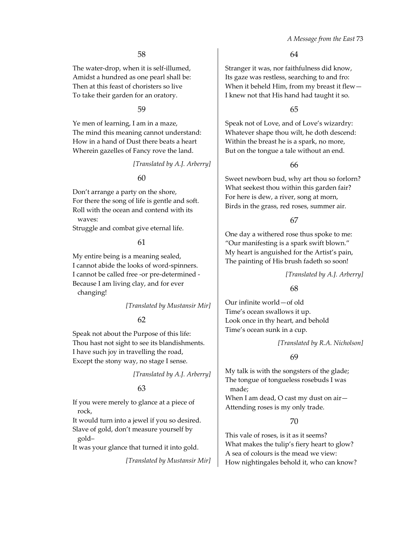The water‐drop, when it is self‐illumed, Amidst a hundred as one pearl shall be: Then at this feast of choristers so live To take their garden for an oratory.

#### 59

Ye men of learning, I am in a maze, The mind this meaning cannot understand: How in a hand of Dust there beats a heart Wherein gazelles of Fancy rove the land.

*[Translated by A.J. Arberry]*

### 60

Don't arrange a party on the shore, For there the song of life is gentle and soft. Roll with the ocean and contend with its waves:

Struggle and combat give eternal life.

#### 61

My entire being is a meaning sealed, I cannot abide the looks of word‐spinners. I cannot be called free ‐or pre‐determined ‐ Because I am living clay, and for ever changing!

*[Translated by Mustansir Mir]*

# 62

Speak not about the Purpose of this life: Thou hast not sight to see its blandishments. I have such joy in travelling the road, Except the stony way, no stage I sense.

*[Translated by A.J. Arberry]*

### 63

If you were merely to glance at a piece of rock,

It would turn into a jewel if you so desired. Slave of gold, don't measure yourself by gold–

It was your glance that turned it into gold.

*[Translated by Mustansir Mir]*

#### 64

Stranger it was, nor faithfulness did know, Its gaze was restless, searching to and fro: When it beheld Him, from my breast it flew— I knew not that His hand had taught it so.

#### 65

Speak not of Love, and of Love's wizardry: Whatever shape thou wilt, he doth descend: Within the breast he is a spark, no more, But on the tongue a tale without an end.

### 66

Sweet newborn bud, why art thou so forlorn? What seekest thou within this garden fair? For here is dew, a river, song at morn, Birds in the grass, red roses, summer air.

### 67

One day a withered rose thus spoke to me: "Our manifesting is a spark swift blown." My heart is anguished for the Artist's pain, The painting of His brush fadeth so soon!

#### *[Translated by A.J. Arberry]*

### 68

Our infinite world—of old Time's ocean swallows it up. Look once in thy heart, and behold Time's ocean sunk in a cup.

*[Translated by R.A. Nicholson]*

### 69

My talk is with the songsters of the glade; The tongue of tongueless rosebuds I was made;

When I am dead, O cast my dust on air-Attending roses is my only trade.

### 70

This vale of roses, is it as it seems? What makes the tulip's fiery heart to glow? A sea of colours is the mead we view: How nightingales behold it, who can know?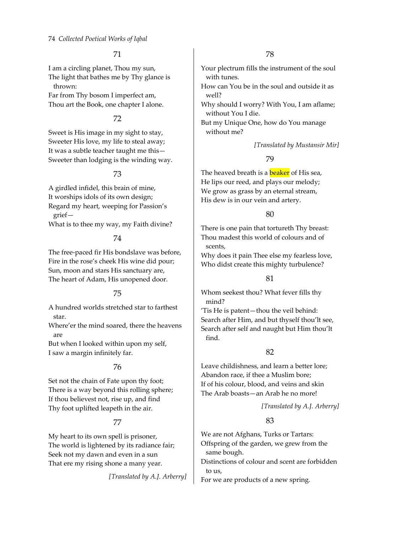I am a circling planet, Thou my sun, The light that bathes me by Thy glance is thrown:

Far from Thy bosom I imperfect am, Thou art the Book, one chapter I alone.

# 72

Sweet is His image in my sight to stay, Sweeter His love, my life to steal away; It was a subtle teacher taught me this— Sweeter than lodging is the winding way.

### 73

A girdled infidel, this brain of mine, It worships idols of its own design; Regard my heart, weeping for Passion's grief—

What is to thee my way, my Faith divine?

### 74

The free‐paced fir His bondslave was before, Fire in the rose's cheek His wine did pour; Sun, moon and stars His sanctuary are, The heart of Adam, His unopened door.

# 75

A hundred worlds stretched star to farthest star.

Where'er the mind soared, there the heavens are

But when I looked within upon my self, I saw a margin infinitely far.

# 76

Set not the chain of Fate upon thy foot; There is a way beyond this rolling sphere; If thou believest not, rise up, and find Thy foot uplifted leapeth in the air.

# 77

My heart to its own spell is prisoner, The world is lightened by its radiance fair; Seek not my dawn and even in a sun That ere my rising shone a many year.

*[Translated by A.J. Arberry]*

Your plectrum fills the instrument of the soul with tunes.

How can You be in the soul and outside it as well?

Why should I worry? With You, I am aflame; without You I die.

But my Unique One, how do You manage without me?

### *[Translated by Mustansir Mir]*

### 79

The heaved breath is a **beaker** of His sea, He lips our reed, and plays our melody; We grow as grass by an eternal stream, His dew is in our vein and artery.

### 80

There is one pain that tortureth Thy breast: Thou madest this world of colours and of scents,

Why does it pain Thee else my fearless love, Who didst create this mighty turbulence?

# 81

Whom seekest thou? What fever fills thy mind?

'Tis He is patent—thou the veil behind: Search after Him, and but thyself thou'lt see, Search after self and naught but Him thou'lt find.

# 82

Leave childishness, and learn a better lore; Abandon race, if thee a Muslim bore; If of his colour, blood, and veins and skin The Arab boasts—an Arab he no more!

# *[Translated by A.J. Arberry]*

# 83

We are not Afghans, Turks or Tartars: Offspring of the garden, we grew from the same bough.

Distinctions of colour and scent are forbidden to us,

For we are products of a new spring.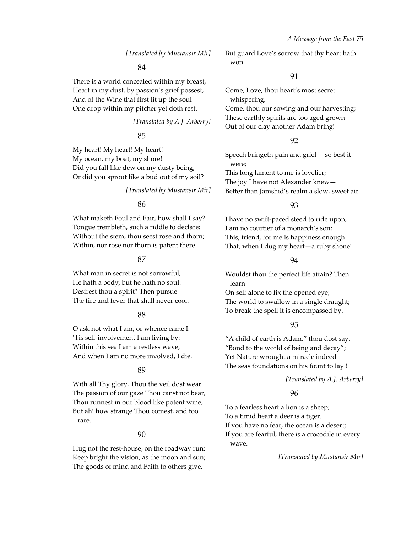#### *[Translated by Mustansir Mir]*

#### 84

There is a world concealed within my breast, Heart in my dust, by passion's grief possest, And of the Wine that first lit up the soul One drop within my pitcher yet doth rest.

*[Translated by A.J. Arberry]*

#### 85

My heart! My heart! My heart! My ocean, my boat, my shore! Did you fall like dew on my dusty being, Or did you sprout like a bud out of my soil?

#### *[Translated by Mustansir Mir]*

#### 86

What maketh Foul and Fair, how shall I say? Tongue trembleth, such a riddle to declare: Without the stem, thou seest rose and thorn; Within, nor rose nor thorn is patent there.

#### 87

What man in secret is not sorrowful, He hath a body, but he hath no soul: Desirest thou a spirit? Then pursue The fire and fever that shall never cool.

#### 88

O ask not what I am, or whence came I: 'Tis self‐involvement I am living by: Within this sea I am a restless wave, And when I am no more involved, I die.

#### 89

With all Thy glory, Thou the veil dost wear. The passion of our gaze Thou canst not bear, Thou runnest in our blood like potent wine, But ah! how strange Thou comest, and too rare.

#### 90

Hug not the rest‐house; on the roadway run: Keep bright the vision, as the moon and sun; The goods of mind and Faith to others give,

But guard Love's sorrow that thy heart hath won.

#### 91

Come, Love, thou heart's most secret whispering,

Come, thou our sowing and our harvesting; These earthly spirits are too aged grown— Out of our clay another Adam bring!

### 92

Speech bringeth pain and grief— so best it were; This long lament to me is lovelier; The joy I have not Alexander knew— Better than Jamshid's realm a slow, sweet air.

### 93

I have no swift‐paced steed to ride upon, I am no courtier of a monarch's son; This, friend, for me is happiness enough That, when I dug my heart—a ruby shone!

### 94

Wouldst thou the perfect life attain? Then learn

On self alone to fix the opened eye; The world to swallow in a single draught; To break the spell it is encompassed by.

### 95

"A child of earth is Adam," thou dost say. "Bond to the world of being and decay"; Yet Nature wrought a miracle indeed— The seas foundations on his fount to lay !

*[Translated by A.J. Arberry]*

### 96

To a fearless heart a lion is a sheep; To a timid heart a deer is a tiger. If you have no fear, the ocean is a desert; If you are fearful, there is a crocodile in every wave.

*[Translated by Mustansir Mir]*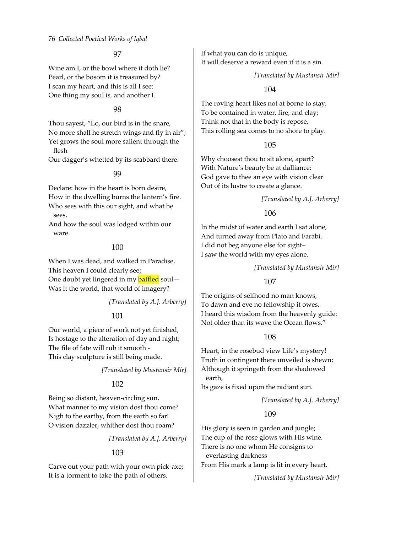Wine am I, or the bowl where it doth lie? Pearl, or the bosom it is treasured by? I scan my heart, and this is all I see: One thing my soul is, and another I.

### 98

Thou sayest, "Lo, our bird is in the snare, No more shall he stretch wings and fly in air"; Yet grows the soul more salient through the flesh

Our dagger's whetted by its scabbard there.

### 99

Declare: how in the heart is born desire, How in the dwelling burns the lantern's fire. Who sees with this our sight, and what he sees,

And how the soul was lodged within our ware.

### 100

When I was dead, and walked in Paradise, This heaven I could clearly see; One doubt yet lingered in my **baffled** soul-Was it the world, that world of imagery?

### *[Translated by A.J. Arberry]*

### 101

Our world, a piece of work not yet finished, Is hostage to the alteration of day and night; The file of fate will rub it smooth ‐ This clay sculpture is still being made.

*[Translated by Mustansir Mir]*

### 102

Being so distant, heaven‐circling sun, What manner to my vision dost thou come? Nigh to the earthy, from the earth so far! O vision dazzler, whither dost thou roam?

*[Translated by A.J. Arberry]*

### 103

Carve out your path with your own pick‐axe; It is a torment to take the path of others.

If what you can do is unique, It will deserve a reward even if it is a sin.

#### *[Translated by Mustansir Mir]*

### 104

The roving heart likes not at borne to stay, To be contained in water, fire, and clay; Think not that in the body is repose, This rolling sea comes to no shore to play.

### 105

Why choosest thou to sit alone, apart? With Nature's beauty be at dalliance: God gave to thee an eye with vision clear Out of its lustre to create a glance.

### *[Translated by A.J. Arberry]*

### 106

In the midst of water and earth I sat alone, And turned away from Plato and Farabi. I did not beg anyone else for sight– I saw the world with my eyes alone.

### *[Translated by Mustansir Mir]*

107

The origins of selfhood no man knows, To dawn and eve no fellowship it owes. I heard this wisdom from the heavenly guide: Not older than its wave the Ocean flows."

### 108

Heart, in the rosebud view Life's mystery! Truth in contingent there unveiled is shewn; Although it springeth from the shadowed earth,

Its gaze is fixed upon the radiant sun.

*[Translated by A.J. Arberry]*

### 109

His glory is seen in garden and jungle; The cup of the rose glows with His wine. There is no one whom He consigns to everlasting darkness From His mark a lamp is lit in every heart.

*[Translated by Mustansir Mir]*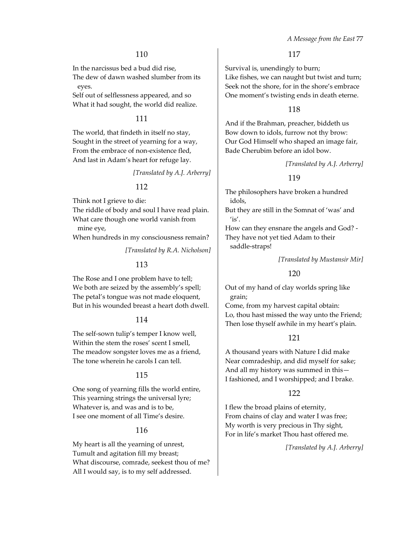In the narcissus bed a bud did rise,

The dew of dawn washed slumber from its eyes.

Self out of selflessness appeared, and so What it had sought, the world did realize.

# 111

The world, that findeth in itself no stay, Sought in the street of yearning for a way, From the embrace of non-existence fled, And last in Adam's heart for refuge lay.

*[Translated by A.J. Arberry]*

### 112

Think not I grieve to die:

The riddle of body and soul I have read plain. What care though one world vanish from

mine eye,

When hundreds in my consciousness remain?

*[Translated by R.A. Nicholson]*

### 113

The Rose and I one problem have to tell; We both are seized by the assembly's spell; The petal's tongue was not made eloquent, But in his wounded breast a heart doth dwell.

#### 114

The self-sown tulip's temper I know well, Within the stem the roses' scent I smell, The meadow songster loves me as a friend, The tone wherein he carols I can tell.

#### 115

One song of yearning fills the world entire, This yearning strings the universal lyre; Whatever is, and was and is to be, I see one moment of all Time's desire.

#### 116

My heart is all the yearning of unrest, Tumult and agitation fill my breast; What discourse, comrade, seekest thou of me? All I would say, is to my self addressed.

117

Survival is, unendingly to burn; Like fishes, we can naught but twist and turn; Seek not the shore, for in the shore's embrace One moment's twisting ends in death eterne.

#### 118

And if the Brahman, preacher, biddeth us Bow down to idols, furrow not thy brow: Our God Himself who shaped an image fair, Bade Cherubim before an idol bow.

*[Translated by A.J. Arberry]*

#### 119

The philosophers have broken a hundred idols,

But they are still in the Somnat of 'was' and 'is'.

How can they ensnare the angels and God? ‐ They have not yet tied Adam to their saddle‐straps!

*[Translated by Mustansir Mir]*

### 120

Out of my hand of clay worlds spring like grain;

Come, from my harvest capital obtain: Lo, thou hast missed the way unto the Friend; Then lose thyself awhile in my heart's plain.

### 121

A thousand years with Nature I did make Near comradeship, and did myself for sake; And all my history was summed in this— I fashioned, and I worshipped; and I brake.

#### 122

I flew the broad plains of eternity, From chains of clay and water I was free; My worth is very precious in Thy sight, For in life's market Thou hast offered me.

*[Translated by A.J. Arberry]*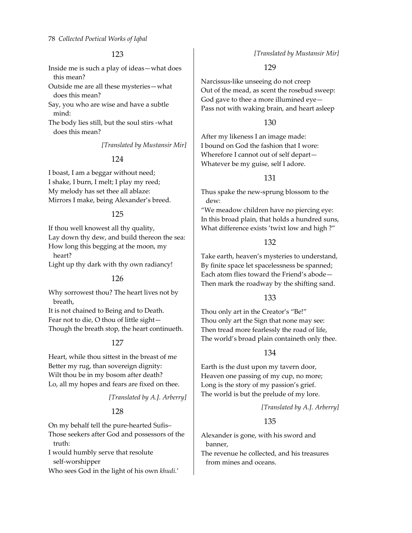Inside me is such a play of ideas—what does this mean?

Outside me are all these mysteries—what does this mean?

Say, you who are wise and have a subtle mind:

The body lies still, but the soul stirs ‐what does this mean?

*[Translated by Mustansir Mir]*

### 124

I boast, I am a beggar without need; I shake, I burn, I melt; I play my reed; My melody has set thee all ablaze: Mirrors I make, being Alexander's breed.

### 125

If thou well knowest all thy quality, Lay down thy dew, and build thereon the sea: How long this begging at the moon, my heart? Light up thy dark with thy own radiancy!

#### 126

Why sorrowest thou? The heart lives not by breath,

It is not chained to Being and to Death. Fear not to die, O thou of little sight— Though the breath stop, the heart continueth.

### 127

Heart, while thou sittest in the breast of me Better my rug, than sovereign dignity: Wilt thou be in my bosom after death? Lo, all my hopes and fears are fixed on thee.

#### *[Translated by A.J. Arberry]*

# 128

On my behalf tell the pure‐hearted Sufis–

Those seekers after God and possessors of the truth:

I would humbly serve that resolute self‐worshipper

Who sees God in the light of his own *khudi.*'

*[Translated by Mustansir Mir]*

### 129

Narcissus‐like unseeing do not creep Out of the mead, as scent the rosebud sweep: God gave to thee a more illumined eye— Pass not with waking brain, and heart asleep

#### 130

After my likeness I an image made: I bound on God the fashion that I wore: Wherefore I cannot out of self depart— Whatever be my guise, self I adore.

### 131

Thus spake the new‐sprung blossom to the dew:

"We meadow children have no piercing eye: In this broad plain, that holds a hundred suns, What difference exists 'twixt low and high ?"

#### 132

Take earth, heaven's mysteries to understand, By finite space let spacelessness be spanned; Each atom flies toward the Friend's abode— Then mark the roadway by the shifting sand.

#### 133

Thou only art in the Creator's "Be!" Thou only art the Sign that none may see: Then tread more fearlessly the road of life, The world's broad plain containeth only thee.

### 134

Earth is the dust upon my tavern door, Heaven one passing of my cup, no more; Long is the story of my passion's grief. The world is but the prelude of my lore.

#### *[Translated by A.J. Arberry]*

### 135

Alexander is gone, with his sword and banner,

The revenue he collected, and his treasures from mines and oceans.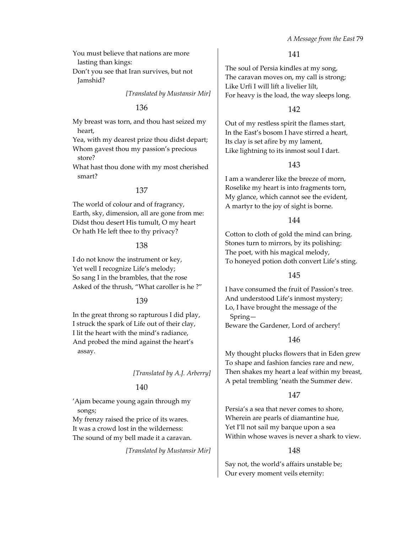- You must believe that nations are more lasting than kings:
- Don't you see that Iran survives, but not Jamshid?

#### *[Translated by Mustansir Mir]*

#### 136

My breast was torn, and thou hast seized my heart,

Yea, with my dearest prize thou didst depart; Whom gavest thou my passion's precious store?

What hast thou done with my most cherished smart?

#### 137

The world of colour and of fragrancy, Earth, sky, dimension, all are gone from me: Didst thou desert His tumult, O my heart Or hath He left thee to thy privacy?

#### 138

I do not know the instrument or key, Yet well I recognize Life's melody; So sang I in the brambles, that the rose Asked of the thrush, "What caroller is he ?"

#### 139

In the great throng so rapturous I did play, I struck the spark of Life out of their clay, I lit the heart with the mind's radiance, And probed the mind against the heart's assay.

#### *[Translated by A.J. Arberry]*

#### 140

'Ajam became young again through my songs;

My frenzy raised the price of its wares. It was a crowd lost in the wilderness: The sound of my bell made it a caravan.

*[Translated by Mustansir Mir]*

#### 141

The soul of Persia kindles at my song, The caravan moves on, my call is strong; Like Urfi I will lift a livelier lilt, For heavy is the load, the way sleeps long.

### 142

Out of my restless spirit the flames start, In the East's bosom I have stirred a heart, Its clay is set afire by my lament, Like lightning to its inmost soul I dart.

### 143

I am a wanderer like the breeze of morn, Roselike my heart is into fragments torn, My glance, which cannot see the evident, A martyr to the joy of sight is borne.

### 144

Cotton to cloth of gold the mind can bring. Stones turn to mirrors, by its polishing: The poet, with his magical melody, To honeyed potion doth convert Life's sting.

### 145

I have consumed the fruit of Passion's tree. And understood Life's inmost mystery; Lo, I have brought the message of the Spring— Beware the Gardener, Lord of archery!

### 146

My thought plucks flowers that in Eden grew To shape and fashion fancies rare and new, Then shakes my heart a leaf within my breast, A petal trembling 'neath the Summer dew.

### 147

Persia's a sea that never comes to shore, Wherein are pearls of diamantine hue, Yet I'll not sail my barque upon a sea Within whose waves is never a shark to view.

#### 148

Say not, the world's affairs unstable be; Our every moment veils eternity: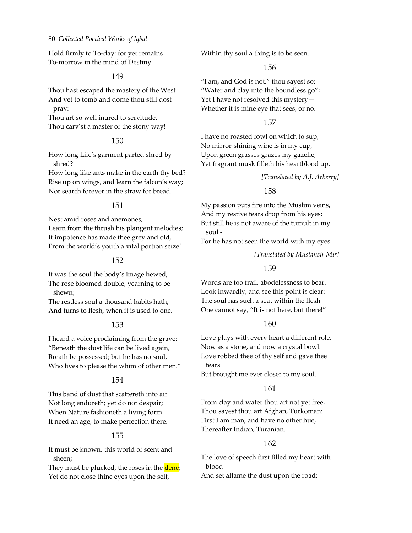Hold firmly to To‐day: for yet remains To‐morrow in the mind of Destiny.

#### 149

Thou hast escaped the mastery of the West And yet to tomb and dome thou still dost pray:

Thou art so well inured to servitude. Thou carv'st a master of the stony way!

### 150

How long Life's garment parted shred by shred?

How long like ants make in the earth thy bed? Rise up on wings, and learn the falcon's way; Nor search forever in the straw for bread.

### 151

Nest amid roses and anemones, Learn from the thrush his plangent melodies; If impotence has made thee grey and old, From the world's youth a vital portion seize!

### 152

It was the soul the body's image hewed, The rose bloomed double, yearning to be shewn;

The restless soul a thousand habits hath, And turns to flesh, when it is used to one.

### 153

I heard a voice proclaiming from the grave: "Beneath the dust life can be lived again, Breath be possessed; but he has no soul, Who lives to please the whim of other men."

### 154

This band of dust that scattereth into air Not long endureth; yet do not despair; When Nature fashioneth a living form. It need an age, to make perfection there.

### 155

It must be known, this world of scent and sheen;

They must be plucked, the roses in the dene; Yet do not close thine eyes upon the self,

Within thy soul a thing is to be seen.

### 156

"I am, and God is not," thou sayest so: "Water and clay into the boundless go"; Yet I have not resolved this mystery— Whether it is mine eye that sees, or no.

#### 157

I have no roasted fowl on which to sup, No mirror‐shining wine is in my cup, Upon green grasses grazes my gazelle, Yet fragrant musk filleth his heartblood up.

### *[Translated by A.J. Arberry]*

### 158

My passion puts fire into the Muslim veins, And my restive tears drop from his eyes; But still he is not aware of the tumult in my soul ‐

For he has not seen the world with my eyes.

#### *[Translated by Mustansir Mir]*

### 159

Words are too frail, abodelessness to bear. Look inwardly, and see this point is clear: The soul has such a seat within the flesh One cannot say, "It is not here, but there!"

### 160

Love plays with every heart a different role, Now as a stone, and now a crystal bowl: Love robbed thee of thy self and gave thee tears

But brought me ever closer to my soul.

### 161

From clay and water thou art not yet free, Thou sayest thou art Afghan, Turkoman: First I am man, and have no other hue, Thereafter Indian, Turanian.

### 162

The love of speech first filled my heart with blood

And set aflame the dust upon the road;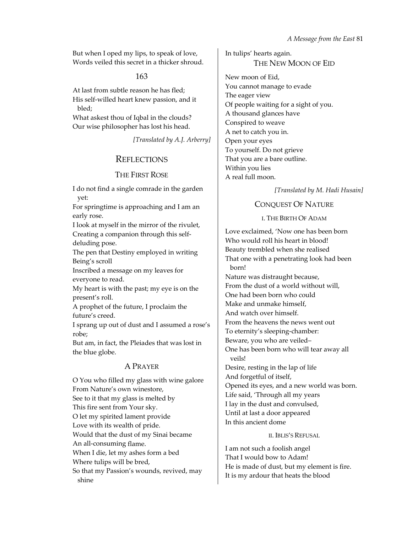But when I oped my lips, to speak of love, Words veiled this secret in a thicker shroud.

### 163

At last from subtle reason he has fled; His self‐willed heart knew passion, and it bled;

What askest thou of Iqbal in the clouds? Our wise philosopher has lost his head.

*[Translated by A.J. Arberry]*

# **REFLECTIONS**

# THE FIRST ROSE

I do not find a single comrade in the garden yet:

For springtime is approaching and I am an early rose.

I look at myself in the mirror of the rivulet, Creating a companion through this self‐ deluding pose.

The pen that Destiny employed in writing Being's scroll

Inscribed a message on my leaves for everyone to read.

My heart is with the past; my eye is on the present's roll.

A prophet of the future, I proclaim the future's creed.

I sprang up out of dust and I assumed a rose's robe;

But am, in fact, the Pleiades that was lost in the blue globe.

# A PRAYER

O You who filled my glass with wine galore From Nature's own winestore, See to it that my glass is melted by This fire sent from Your sky. O let my spirited lament provide Love with its wealth of pride. Would that the dust of my Sinai became An all‐consuming flame. When I die, let my ashes form a bed Where tulips will be bred, So that my Passion's wounds, revived, may shine

In tulips' hearts again. THE NEW MOON OF EID

New moon of Eid, You cannot manage to evade The eager view Of people waiting for a sight of you. A thousand glances have Conspired to weave A net to catch you in. Open your eyes To yourself. Do not grieve That you are a bare outline. Within you lies A real full moon.

*[Translated by M. Hadi Husain]*

# CONQUEST OF NATURE

#### I. THE BIRTH OF ADAM

Love exclaimed, 'Now one has been born Who would roll his heart in blood! Beauty trembled when she realised That one with a penetrating look had been born! Nature was distraught because, From the dust of a world without will, One had been born who could Make and unmake himself, And watch over himself. From the heavens the news went out To eternity's sleeping‐chamber: Beware, you who are veiled– One has been born who will tear away all veils! Desire, resting in the lap of life And forgetful of itself, Opened its eyes, and a new world was born. Life said, 'Through all my years I lay in the dust and convulsed, Until at last a door appeared In this ancient dome

#### II. IBLIS'S REFUSAL

I am not such a foolish angel That I would bow to Adam! He is made of dust, but my element is fire. It is my ardour that heats the blood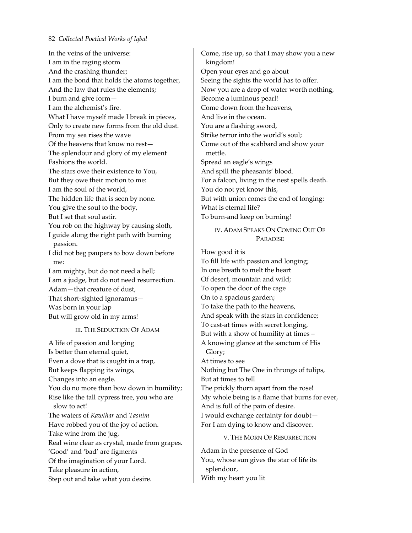In the veins of the universe: I am in the raging storm And the crashing thunder; I am the bond that holds the atoms together, And the law that rules the elements; I burn and give form— I am the alchemist's fire. What I have myself made I break in pieces, Only to create new forms from the old dust. From my sea rises the wave Of the heavens that know no rest— The splendour and glory of my element Fashions the world. The stars owe their existence to You, But they owe their motion to me: I am the soul of the world, The hidden life that is seen by none. You give the soul to the body, But I set that soul astir. You rob on the highway by causing sloth, I guide along the right path with burning passion. I did not beg paupers to bow down before me: I am mighty, but do not need a hell; I am a judge, but do not need resurrection. Adam—that creature of dust, That short‐sighted ignoramus— Was born in your lap

But will grow old in my arms!

#### III. THE SEDUCTION OF ADAM

A life of passion and longing Is better than eternal quiet, Even a dove that is caught in a trap, But keeps flapping its wings, Changes into an eagle. You do no more than bow down in humility; Rise like the tall cypress tree, you who are slow to act! The waters of *Kawthar* and *Tasnim* Have robbed you of the joy of action. Take wine from the jug, Real wine clear as crystal, made from grapes. 'Good' and 'bad' are figments Of the imagination of your Lord. Take pleasure in action, Step out and take what you desire.

Come, rise up, so that I may show you a new kingdom! Open your eyes and go about Seeing the sights the world has to offer. Now you are a drop of water worth nothing, Become a luminous pearl! Come down from the heavens, And live in the ocean. You are a flashing sword, Strike terror into the world's soul; Come out of the scabbard and show your mettle. Spread an eagle's wings And spill the pheasants' blood. For a falcon, living in the nest spells death. You do not yet know this, But with union comes the end of longing: What is eternal life? To burn‐and keep on burning!

> IV. ADAM SPEAKS ON COMING OUT OF PARADISE

How good it is To fill life with passion and longing; In one breath to melt the heart Of desert, mountain and wild; To open the door of the cage On to a spacious garden; To take the path to the heavens, And speak with the stars in confidence; To cast‐at times with secret longing, But with a show of humility at times – A knowing glance at the sanctum of His Glory; At times to see Nothing but The One in throngs of tulips, But at times to tell The prickly thorn apart from the rose! My whole being is a flame that burns for ever, And is full of the pain of desire. I would exchange certainty for doubt— For I am dying to know and discover.

#### V. THE MORN OF RESURRECTION

Adam in the presence of God You, whose sun gives the star of life its splendour, With my heart you lit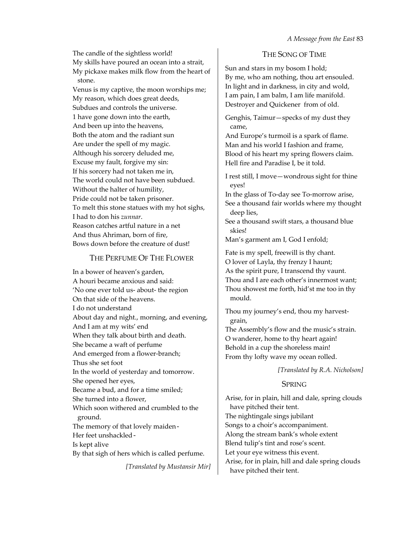The candle of the sightless world! My skills have poured an ocean into a strait, My pickaxe makes milk flow from the heart of stone.

Venus is my captive, the moon worships me; My reason, which does great deeds, Subdues and controls the universe. 1 have gone down into the earth, And been up into the heavens, Both the atom and the radiant sun Are under the spell of my magic. Although his sorcery deluded me, Excuse my fault, forgive my sin: If his sorcery had not taken me in, The world could not have been subdued. Without the halter of humility, Pride could not be taken prisoner. To melt this stone statues with my hot sighs, I had to don his *zunnar*. Reason catches artful nature in a net And thus Ahriman, born of fire, Bows down before the creature of dust!

### THE PERFUME OF THE FLOWER

In a bower of heaven's garden, A houri became anxious and said: 'No one ever told us‐ about‐ the region On that side of the heavens. I do not understand About day and night., morning, and evening, And I am at my wits' end When they talk about birth and death. She became a waft of perfume And emerged from a flower-branch; Thus she set foot In the world of yesterday and tomorrow. She opened her eyes, Became a bud, and for a time smiled; She turned into a flower, Which soon withered and crumbled to the ground. The memory of that lovely maiden-Her feet unshackled-Is kept alive

By that sigh of hers which is called perfume.

*[Translated by Mustansir Mir]*

# THE SONG OF TIME

Sun and stars in my bosom I hold; By me, who am nothing, thou art ensouled. In light and in darkness, in city and wold, I am pain, I am balm, I am life manifold. Destroyer and Quickener from of old.

Genghis, Taimur—specks of my dust they came,

And Europe's turmoil is a spark of flame. Man and his world I fashion and frame, Blood of his heart my spring flowers claim. Hell fire and Paradise I, be it told.

I rest still, I move—wondrous sight for thine eyes!

In the glass of To‐day see To‐morrow arise, See a thousand fair worlds where my thought deep lies,

See a thousand swift stars, a thousand blue skies!

Man's garment am I, God I enfold;

Fate is my spell, freewill is thy chant. O lover of Layla, thy frenzy I haunt; As the spirit pure, I transcend thy vaunt. Thou and I are each other's innermost want; Thou showest me forth, hid'st me too in thy mould.

Thou my journey's end, thou my harvest‐ grain,

The Assembly's flow and the music's strain. O wanderer, home to thy heart again! Behold in a cup the shoreless main! From thy lofty wave my ocean rolled.

*[Translated by R.A. Nicholson]*

# **SPRING**

Arise, for in plain, hill and dale, spring clouds have pitched their tent. The nightingale sings jubilant Songs to a choir's accompaniment. Along the stream bank's whole extent Blend tulip's tint and rose's scent. Let your eye witness this event. Arise, for in plain, hill and dale spring clouds have pitched their tent.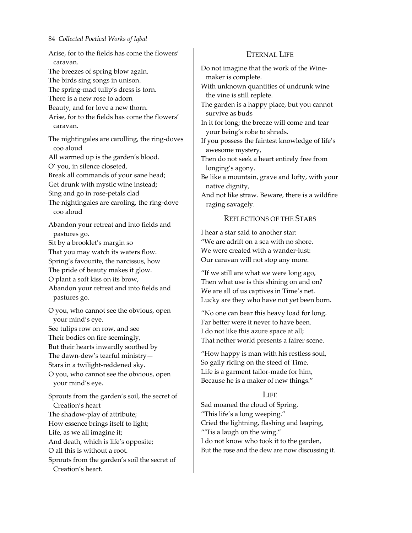Arise, for to the fields has come the flowers' caravan. The breezes of spring blow again. The birds sing songs in unison. The spring‐mad tulip's dress is torn. There is a new rose to adorn Beauty, and for love a new thorn. Arise, for to the fields has come the flowers' caravan. The nightingales are carolling, the ring‐doves coo aloud All warmed up is the garden's blood. O' you, in silence closeted, Break all commands of your sane head; Get drunk with mystic wine instead; Sing and go in rose‐petals clad The nightingales are caroling, the ring‐dove coo aloud Abandon your retreat and into fields and pastures go. Sit by a brooklet's margin so That you may watch its waters flow. Spring's favourite, the narcissus, how The pride of beauty makes it glow. O plant a soft kiss on its brow, Abandon your retreat and into fields and pastures go. O you, who cannot see the obvious, open your mind's eye. See tulips row on row, and see Their bodies on fire seemingly, But their hearts inwardly soothed by The dawn-dew's tearful ministry-Stars in a twilight‐reddened sky. O you, who cannot see the obvious, open your mind's eye. Sprouts from the garden's soil, the secret of Creation's heart The shadow‐play of attribute; How essence brings itself to light; Life, as we all imagine it; And death, which is life's opposite; O all this is without a root.

Sprouts from the garden's soil the secret of Creation's heart.

# ETERNAL LIFE

Do not imagine that the work of the Wine‐ maker is complete.

With unknown quantities of undrunk wine the vine is still replete.

The garden is a happy place, but you cannot survive as buds

In it for long; the breeze will come and tear your being's robe to shreds.

If you possess the faintest knowledge of life's awesome mystery,

Then do not seek a heart entirely free from longing's agony.

Be like a mountain, grave and lofty, with your native dignity,

And not like straw. Beware, there is a wildfire raging savagely.

# REFLECTIONS OF THE STARS

I hear a star said to another star: "We are adrift on a sea with no shore. We were created with a wander-lust: Our caravan will not stop any more.

"If we still are what we were long ago, Then what use is this shining on and on? We are all of us captives in Time's net. Lucky are they who have not yet been born.

"No one can bear this heavy load for long. Far better were it never to have been. I do not like this azure space at all; That nether world presents a fairer scene.

"How happy is man with his restless soul, So gaily riding on the steed of Time. Life is a garment tailor‐made for him, Because he is a maker of new things."

### LIFE

Sad moaned the cloud of Spring, "This life's a long weeping." Cried the lightning, flashing and leaping, "'Tis a laugh on the wing." I do not know who took it to the garden, But the rose and the dew are now discussing it.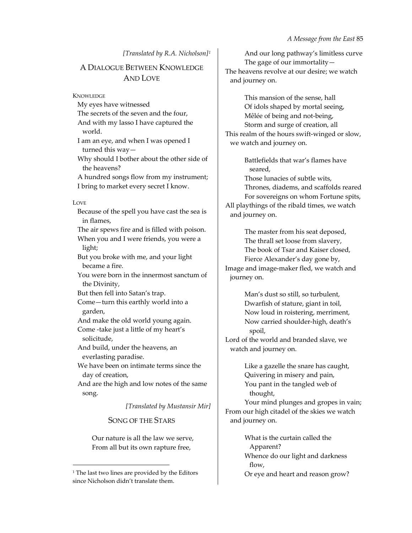#### *[Translated by R.A. Nicholson][1](#page-22-0)*

# A DIALOGUE BETWEEN KNOWLEDGE AND LOVE

**KNOWLEDGE** 

My eyes have witnessed The secrets of the seven and the four, And with my lasso I have captured the world. I am an eye, and when I was opened I turned this way— Why should I bother about the other side of the heavens? A hundred songs flow from my instrument; I bring to market every secret I know.

#### LOVE

Because of the spell you have cast the sea is in flames,

The air spews fire and is filled with poison. When you and I were friends, you were a light;

But you broke with me, and your light became a fire.

You were born in the innermost sanctum of the Divinity,

But then fell into Satan's trap.

Come—turn this earthly world into a garden,

And make the old world young again. Come ‐take just a little of my heart's

solicitude, And build, under the heavens, an

everlasting paradise.

We have been on intimate terms since the day of creation,

And are the high and low notes of the same song.

*[Translated by Mustansir Mir]*

SONG OF THE STARS

Our nature is all the law we serve, From all but its own rapture free,

<u> 1989 - Johann Barn, mars eta bainar eta industrial eta bainar eta baina eta baina eta baina eta baina eta ba</u>

And our long pathway's limitless curve The gage of our immortality  $-$ The heavens revolve at our desire; we watch and journey on.

This mansion of the sense, hall Of idols shaped by mortal seeing, Mêlée of being and not‐being, Storm and surge of creation, all This realm of the hours swift‐winged or slow, we watch and journey on.

> Battlefields that war's flames have seared,

Those lunacies of subtle wits,

Thrones, diadems, and scaffolds reared For sovereigns on whom Fortune spits, All playthings of the ribald times, we watch

and journey on.

The master from his seat deposed, The thrall set loose from slavery, The book of Tsar and Kaiser closed, Fierce Alexander's day gone by, Image and image‐maker fled, we watch and journey on.

> Man's dust so still, so turbulent, Dwarfish of stature, giant in toil, Now loud in roistering, merriment, Now carried shoulder‐high, death's spoil,

Lord of the world and branded slave, we watch and journey on.

> Like a gazelle the snare has caught, Quivering in misery and pain, You pant in the tangled web of thought,

Your mind plunges and gropes in vain; From our high citadel of the skies we watch and journey on.

> What is the curtain called the Apparent? Whence do our light and darkness flow,

Or eye and heart and reason grow?

<span id="page-22-0"></span><sup>&</sup>lt;sup>1</sup> The last two lines are provided by the Editors since Nicholson didn't translate them.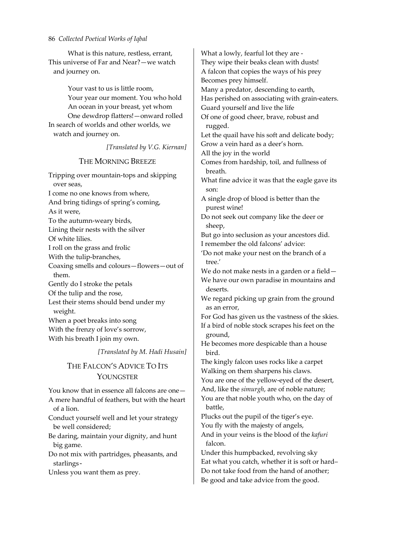What is this nature, restless, errant, This universe of Far and Near?—we watch and journey on.

Your vast to us is little room, Your year our moment. You who hold An ocean in your breast, yet whom One dewdrop flatters!—onward rolled In search of worlds and other worlds, we watch and journey on.

*[Translated by V.G. Kiernan]*

### THE MORNING BREEZE

Tripping over mountain‐tops and skipping over seas, I come no one knows from where, And bring tidings of spring's coming, As it were, To the autumn‐weary birds, Lining their nests with the silver Of white lilies. I roll on the grass and frolic With the tulip-branches, Coaxing smells and colours—flowers—out of them. Gently do I stroke the petals Of the tulip and the rose, Lest their stems should bend under my weight. When a poet breaks into song With the frenzy of love's sorrow, With his breath I join my own.

*[Translated by M. Hadi Husain]*

# THE FALCON'S ADVICE TO ITS **YOUNGSTER**

You know that in essence all falcons are one— A mere handful of feathers, but with the heart of a lion.

Conduct yourself well and let your strategy be well considered;

Be daring, maintain your dignity, and hunt big game.

Do not mix with partridges, pheasants, and starlings-

Unless you want them as prey.

What a lowly, fearful lot they are ‐ They wipe their beaks clean with dusts! A falcon that copies the ways of his prey Becomes prey himself. Many a predator, descending to earth, Has perished on associating with grain‐eaters. Guard yourself and live the life Of one of good cheer, brave, robust and rugged. Let the quail have his soft and delicate body; Grow a vein hard as a deer's horn. All the joy in the world Comes from hardship, toil, and fullness of breath. What fine advice it was that the eagle gave its son: A single drop of blood is better than the purest wine! Do not seek out company like the deer or sheep, But go into seclusion as your ancestors did. I remember the old falcons' advice: 'Do not make your nest on the branch of a tree.' We do not make nests in a garden or a field— We have our own paradise in mountains and deserts. We regard picking up grain from the ground as an error, For God has given us the vastness of the skies. If a bird of noble stock scrapes his feet on the ground, He becomes more despicable than a house bird. The kingly falcon uses rocks like a carpet Walking on them sharpens his claws. You are one of the yellow-eyed of the desert, And, like the *simurgh*, are of noble nature; You are that noble youth who, on the day of battle, Plucks out the pupil of the tiger's eye. You fly with the majesty of angels, And in your veins is the blood of the *kafuri* falcon. Under this humpbacked, revolving sky

Eat what you catch, whether it is soft or hard– Do not take food from the hand of another; Be good and take advice from the good.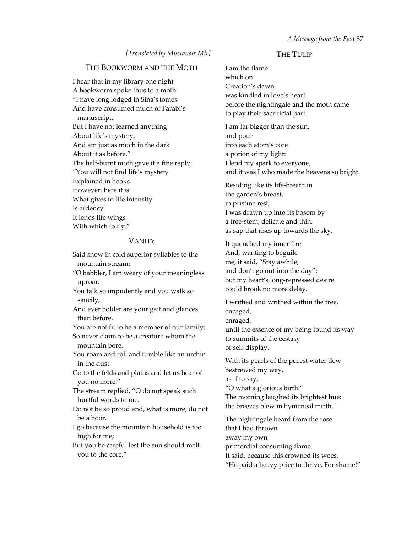#### *[Translated by Mustansir Mir]*

#### THE BOOKWORM AND THE MOTH

I hear that in my library one night A bookworm spoke thus to a moth: "I have long lodged in Sina's tomes And have consumed much of Farabi's manuscript. But I have not learned anything About life's mystery, And am just as much in the dark About it as before." The half-burnt moth gave it a fine reply: "You will not find life's mystery Explained in books. However, here it is: What gives to life intensity Is ardency. It lends life wings With which to fly."

#### VANITY

Said snow in cold superior syllables to the mountain stream: "O babbler, I am weary of your meaningless uproar. You talk so impudently and you walk so saucily, And ever bolder are your gait and glances than before. You are not fit to be a member of our family; So never claim to be a creature whom the mountain bore. You roam and roll and tumble like an urchin in the dust. Go to the felds and plains and let us hear of you no more." The stream replied, "O do not speak such hurtful words to me. Do not be so proud and, what is more, do not be a boor. I go because the mountain household is too high for me; But you be careful lest the sun should melt you to the core."

### THE TULIP

I am the flame which on Creation's dawn was kindled in love's heart before the nightingale and the moth came to play their sacrificial part.

I am far bigger than the sun, and pour into each atom's core a potion of my light: I lend my spark to everyone, and it was I who made the heavens so bright.

Residing like its life‐breath in the garden's breast, in pristine rest, I was drawn up into its bosom by a tree‐stem, delicate and thin, as sap that rises up towards the sky.

It quenched my inner fire And, wanting to beguile me, it said, "Stay awhile, and don't go out into the day"; but my heart's long‐repressed desire could brook no more delay.

I writhed and writhed within the tree, encaged, enraged, until the essence of my being found its way to summits of the ecstasy of self‐display.

With its pearls of the purest water dew bestrewed my way, as if to say, "O what a glorious birth!" The morning laughed its brightest hue: the breezes blew in hymeneal mirth.

The nightingale heard from the rose that I had thrown away my own primordial consuming flame. It said, because this crowned its woes, "He paid a heavy price to thrive. For shame!"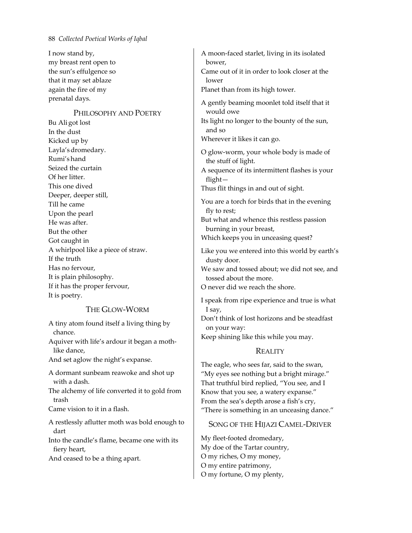I now stand by, my breast rent open to the sun's effulgence so that it may set ablaze again the fire of my prenatal days.

#### PHILOSOPHY AND POETRY

Bu Ali got lost In the dust Kicked up by Layla'sdromedary. Rumi's hand Seized the curtain Of her litter. This one dived Deeper, deeper still, Till he came Upon the pearl He was after. But the other Got caught in A whirlpool like a piece of straw. If the truth Has no fervour, It is plain philosophy. If it has the proper fervour, It is poetry.

### THE GLOW‐WORM

A tiny atom found itself a living thing by chance.

Aquiver with life's ardour it began a moth‐ like dance,

And set aglow the night's expanse.

A dormant sunbeam reawoke and shot up with a dash.

The alchemy of life converted it to gold from trash

Came vision to it in a flash.

A restlessly aflutter moth was bold enough to dart

Into the candle's flame, became one with its fiery heart,

And ceased to be a thing apart.

A moon‐faced starlet, living in its isolated bower, Came out of it in order to look closer at the lower Planet than from its high tower. A gently beaming moonlet told itself that it would owe Its light no longer to the bounty of the sun, and so Wherever it likes it can go. O glow‐worm, your whole body is made of the stuff of light. A sequence of its intermittent flashes is your flight— Thus flit things in and out of sight. You are a torch for birds that in the evening fly to rest; But what and whence this restless passion burning in your breast, Which keeps you in unceasing quest? Like you we entered into this world by earth's dusty door. We saw and tossed about; we did not see, and

tossed about the more.

O never did we reach the shore.

I speak from ripe experience and true is what I say,

Don't think of lost horizons and be steadfast on your way:

Keep shining like this while you may.

### **REALITY**

The eagle, who sees far, said to the swan, "My eyes see nothing but a bright mirage." That truthful bird replied, "You see, and I Know that you see, a watery expanse." From the sea's depth arose a fish's cry, "There is something in an unceasing dance."

### SONG OF THE HIJAZI CAMEL‐DRIVER

My fleet‐footed dromedary, My doe of the Tartar country, O my riches, O my money, O my entire patrimony, O my fortune, O my plenty,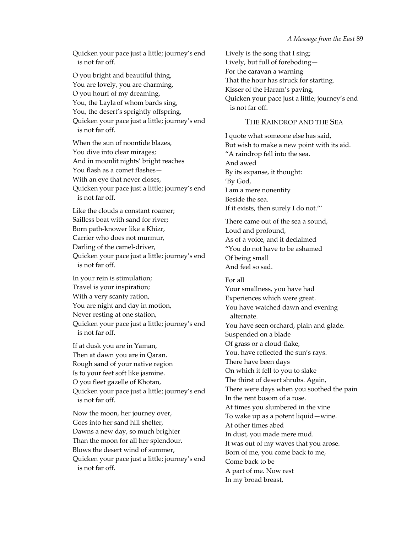Quicken your pace just a little; journey's end is not far off.

O you bright and beautiful thing, You are lovely, you are charming, O you houri of my dreaming, You, the Layla of whom bards sing, You, the desert's sprightly offspring, Quicken your pace just a little; journey's end is not far off.

When the sun of noontide blazes, You dive into clear mirages; And in moonlit nights' bright reaches You flash as a comet flashes-With an eye that never closes, Quicken your pace just a little; journey's end is not far off.

Like the clouds a constant roamer; Sailless boat with sand for river; Born path‐knower like a Khizr, Carrier who does not murmur, Darling of the camel-driver, Quicken your pace just a little; journey's end is not far off.

In your rein is stimulation; Travel is your inspiration; With a very scanty ration, You are night and day in motion, Never resting at one station, Quicken your pace just a little; journey's end is not far off.

If at dusk you are in Yaman, Then at dawn you are in Qaran. Rough sand of your native region Is to your feet soft like jasmine. O you fleet gazelle of Khotan, Quicken your pace just a little; journey's end is not far off.

Now the moon, her journey over, Goes into her sand hill shelter, Dawns a new day, so much brighter Than the moon for all her splendour. Blows the desert wind of summer, Quicken your pace just a little; journey's end is not far off.

Lively is the song that I sing; Lively, but full of foreboding— For the caravan a warning That the hour has struck for starting. Kisser of the Haram's paving, Quicken your pace just a little; journey's end is not far off.

### THE RAINDROP AND THE SEA

I quote what someone else has said, But wish to make a new point with its aid. "A raindrop fell into the sea. And awed By its expanse, it thought: 'By God, I am a mere nonentity Beside the sea. If it exists, then surely I do not."'

There came out of the sea a sound, Loud and profound, As of a voice, and it declaimed "You do not have to be ashamed Of being small And feel so sad.

For all Your smallness, you have had Experiences which were great. You have watched dawn and evening alternate. You have seen orchard, plain and glade. Suspended on a blade Of grass or a cloud‐flake, You. have reflected the sun's rays. There have been days On which it fell to you to slake The thirst of desert shrubs. Again, There were days when you soothed the pain In the rent bosom of a rose. At times you slumbered in the vine To wake up as a potent liquid—wine. At other times abed In dust, you made mere mud. It was out of my waves that you arose. Born of me, you come back to me, Come back to be A part of me. Now rest In my broad breast,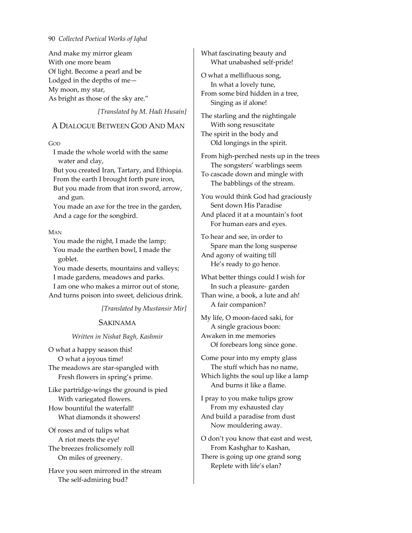And make my mirror gleam With one more beam Of light. Become a pearl and be Lodged in the depths of me— My moon, my star, As bright as those of the sky are."

*[Translated by M. Hadi Husain]*

### A DIALOGUE BETWEEN GOD AND MAN

GOD

I made the whole world with the same water and clay,

But you created Iran, Tartary, and Ethiopia. From the earth I brought forth pure iron, But you made from that iron sword, arrow,

and gun.

You made an axe for the tree in the garden, And a cage for the songbird.

MAN

You made the night, I made the lamp; You made the earthen bowl, I made the goblet.

You made deserts, mountains and valleys; I made gardens, meadows and parks. I am one who makes a mirror out of stone, And turns poison into sweet, delicious drink.

*[Translated by Mustansir Mir]*

### SAKINAMA

### *Written in Nishat Bagh, Kashmir*

O what a happy season this! O what a joyous time! The meadows are star-spangled with Fresh flowers in spring's prime.

Like partridge‐wings the ground is pied With variegated flowers. How bountiful the waterfall! What diamonds it showers!

Of roses and of tulips what A riot meets the eye! The breezes frolicsomely roll On miles of greenery.

Have you seen mirrored in the stream The self‐admiring bud?

What fascinating beauty and What unabashed self‐pride!

O what a mellifluous song, In what a lovely tune, From some bird hidden in a tree, Singing as if alone!

The starling and the nightingale With song resuscitate The spirit in the body and Old longings in the spirit.

From high‐perched nests up in the trees The songsters' warblings seem To cascade down and mingle with The babblings of the stream.

You would think God had graciously Sent down His Paradise And placed it at a mountain's foot For human ears and eyes.

To hear and see, in order to Spare man the long suspense And agony of waiting till He's ready to go hence.

What better things could I wish for In such a pleasure‐ garden Than wine, a book, a lute and ah! A fair companion?

My life, O moon‐faced saki, for A single gracious boon: Awaken in me memories Of forebears long since gone.

Come pour into my empty glass The stuff which has no name, Which lights the soul up like a lamp And burns it like a flame.

I pray to you make tulips grow From my exhausted clay And build a paradise from dust Now mouldering away.

O don't you know that east and west, From Kashghar to Kashan, There is going up one grand song Replete with life's elan?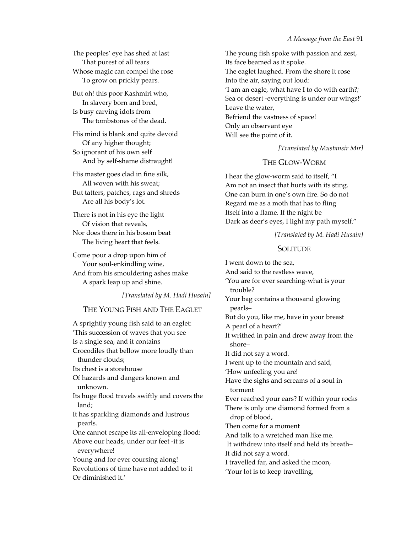The peoples' eye has shed at last That purest of all tears Whose magic can compel the rose To grow on prickly pears.

But oh! this poor Kashmiri who, In slavery born and bred, Is busy carving idols from The tombstones of the dead.

His mind is blank and quite devoid Of any higher thought; So ignorant of his own self And by self‐shame distraught!

His master goes clad in fine silk, All woven with his sweat; But tatters, patches, rags and shreds Are all his body's lot.

There is not in his eye the light Of vision that reveals, Nor does there in his bosom beat The living heart that feels.

Come pour a drop upon him of Your soul-enkindling wine, And from his smouldering ashes make A spark leap up and shine.

*[Translated by M. Hadi Husain]*

# THE YOUNG FISH AND THE EAGLET

A sprightly young fish said to an eaglet: 'This succession of waves that you see Is a single sea, and it contains Crocodiles that bellow more loudly than thunder clouds; Its chest is a storehouse Of hazards and dangers known and unknown. Its huge flood travels swiftly and covers the land; It has sparkling diamonds and lustrous pearls. One cannot escape its all-enveloping flood: Above our heads, under our feet ‐it is everywhere! Young and for ever coursing along! Revolutions of time have not added to it Or diminished it.'

The young fish spoke with passion and zest, Its face beamed as it spoke. The eaglet laughed. From the shore it rose Into the air, saying out loud: 'I am an eagle, what have I to do with earth?*;* Sea or desert ‐everything is under our wings!' Leave the water, Befriend the vastness of space! Only an observant eye Will see the point of it.

*[Translated by Mustansir Mir]*

# THE GLOW‐WORM

I hear the glow‐worm said to itself, "I Am not an insect that hurts with its sting. One can burn in one's own fire. So do not Regard me as a moth that has to fling Itself into a flame. If the night be Dark as deer's eyes, I light my path myself."

*[Translated by M. Hadi Husain]*

# **SOLITUDE**

I went down to the sea, And said to the restless wave, 'You are for ever searching‐what is your trouble? Your bag contains a thousand glowing pearls– But do you, like me, have in your breast A pearl of a heart?' It writhed in pain and drew away from the shore– It did not say a word. I went up to the mountain and said, 'How unfeeling you are! Have the sighs and screams of a soul in torment Ever reached your ears? If within your rocks There is only one diamond formed from a drop of blood, Then come for a moment And talk to a wretched man like me. It withdrew into itself and held its breath– It did not say a word. I travelled far, and asked the moon, 'Your lot is to keep travelling,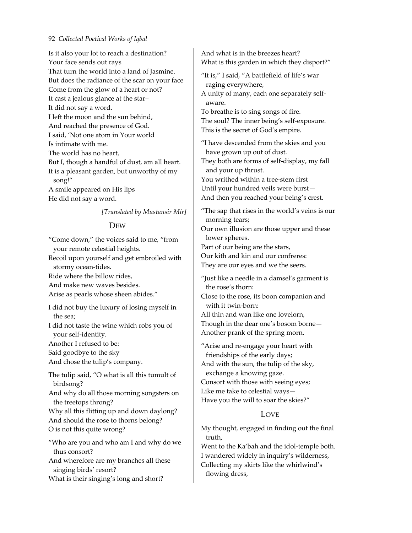Is it also your lot to reach a destination? Your face sends out rays That turn the world into a land of Jasmine. But does the radiance of the scar on your face Come from the glow of a heart or not? It cast a jealous glance at the star– It did not say a word. I left the moon and the sun behind, And reached the presence of God. I said, 'Not one atom in Your world Is intimate with me. The world has no heart, But I, though a handful of dust, am all heart. It is a pleasant garden, but unworthy of my song!" A smile appeared on His lips He did not say a word.

*[Translated by Mustansir Mir]*

#### DEW

"Come down," the voices said to me, "from your remote celestial heights.

Recoil upon yourself and get embroiled with stormy ocean-tides.

Ride where the billow rides,

And make new waves besides.

Arise as pearls whose sheen abides."

I did not buy the luxury of losing myself in the sea;

I did not taste the wine which robs you of your self‐identity.

Another I refused to be:

Said goodbye to the sky

And chose the tulip's company.

The tulip said, "O what is all this tumult of birdsong?

And why do all those morning songsters on the treetops throng?

Why all this flitting up and down daylong? And should the rose to thorns belong? O is not this quite wrong?

"Who are you and who am I and why do we thus consort?

And wherefore are my branches all these singing birds' resort?

What is their singing's long and short?

And what is in the breezes heart? What is this garden in which they disport?"

"It is," I said, "A battlefield of life's war raging everywhere,

A unity of many, each one separately self‐ aware.

To breathe is to sing songs of fire.

The soul? The inner being's self‐exposure. This is the secret of God's empire.

"I have descended from the skies and you have grown up out of dust.

They both are forms of self‐display, my fall and your up thrust.

You writhed within a tree‐stem first

Until your hundred veils were burst—

And then you reached your being's crest.

"The sap that rises in the world's veins is our morning tears;

Our own illusion are those upper and these lower spheres.

Part of our being are the stars,

Our kith and kin and our confreres:

They are our eyes and we the seers.

"Just like a needle in a damsel's garment is the rose's thorn:

Close to the rose, its boon companion and with it twin‐born:

All thin and wan like one lovelorn, Though in the dear one's bosom borne— Another prank of the spring morn.

"Arise and re‐engage your heart with friendships of the early days;

And with the sun, the tulip of the sky, exchange a knowing gaze.

Consort with those with seeing eyes;

Like me take to celestial ways—

Have you the will to soar the skies?"

# **LOVE**

My thought, engaged in finding out the final truth,

Went to the Ka'bah and the idol-temple both. I wandered widely in inquiry's wilderness, Collecting my skirts like the whirlwind's flowing dress,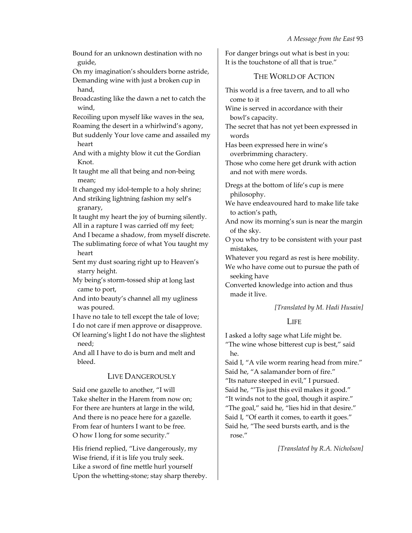Bound for an unknown destination with no guide,

On my imagination's shoulders borne astride, Demanding wine with just a broken cup in hand,

Broadcasting like the dawn a net to catch the wind,

Recoiling upon myself like waves in the sea, Roaming the desert in a whirlwind's agony,

But suddenly Your love came and assailed my heart

And with a mighty blow it cut the Gordian Knot.

It taught me all that being and non‐being mean;

It changed my idol-temple to a holy shrine;

And striking lightning fashion my self's granary,

It taught my heart the joy of burning silently. All in a rapture I was carried off my feet;

And I became a shadow, from myself discrete.

The sublimating force of what You taught my heart

Sent my dust soaring right up to Heaven's starry height.

My being's storm‐tossed ship at long last came to port,

And into beauty's channel all my ugliness was poured.

I have no tale to tell except the tale of love;

I do not care if men approve or disapprove.

Of learning's light I do not have the slightest need;

And all I have to do is burn and melt and bleed.

# LIVE DANGEROUSLY

Said one gazelle to another, "I will Take shelter in the Harem from now on; For there are hunters at large in the wild, And there is no peace here for a gazelle. From fear of hunters I want to be free. O how I long for some security."

His friend replied, "Live dangerously, my Wise friend, if it is life you truly seek. Like a sword of fine mettle hurl yourself Upon the whetting‐stone; stay sharp thereby. For danger brings out what is best in you: It is the touchstone of all that is true."

# THE WORLD OF ACTION

This world is a free tavern, and to all who come to it

Wine is served in accordance with their bowl's capacity.

The secret that has not yet been expressed in words

Has been expressed here in wine's overbrimming charactery.

Those who come here get drunk with action and not with mere words.

Dregs at the bottom of life's cup is mere philosophy.

We have endeavoured hard to make life take to action's path,

And now its morning's sun is near the margin of the sky.

O you who try to be consistent with your past mistakes,

Whatever you regard as rest is here mobility.

We who have come out to pursue the path of seeking have

Converted knowledge into action and thus made it live.

### *[Translated by M. Hadi Husain]*

# LIFE

I asked a lofty sage what Life might be.

"The wine whose bitterest cup is best," said he.

Said I, "A vile worm rearing head from mire." Said he, "A salamander born of fire." "Its nature steeped in evil," I pursued. Said he, "'Tis just this evil makes it good." "It winds not to the goal, though it aspire." "The goal," said he, "lies hid in that desire." Said I, "Of earth it comes, to earth it goes." Said he, "The seed bursts earth, and is the rose."

*[Translated by R.A. Nicholson]*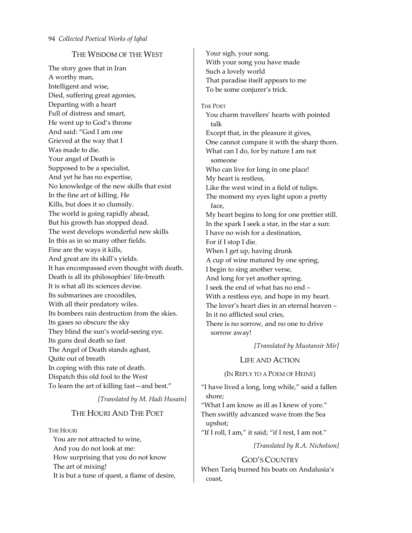# THE WISDOM OF THE WEST

The story goes that in Iran A worthy man, Intelligent and wise, Died, suffering great agonies, Departing with a heart Full of distress and smart, He went up to God's throne And said: "God I am one Grieved at the way that I Was made to die. Your angel of Death is Supposed to be a specialist, And yet he has no expertise, No knowledge of the new skills that exist In the fine art of killing. He Kills, but does it so clumsily. The world is going rapidly ahead, But his growth has stopped dead. The west develops wonderful new skills In this as in so many other fields. Fine are the ways it kills, And great are its skill's yields. It has encompassed even thought with death. Death is all its philosophies' life‐breath It is what all its sciences devise. Its submarines are crocodiles, With all their predatory wiles. Its bombers rain destruction from the skies. Its gases so obscure the sky They blind the sun's world‐seeing eye. Its guns deal death so fast The Angel of Death stands aghast, Quite out of breath In coping with this rate of death. Dispatch this old fool to the West To learn the art of killing fast—and best."

*[Translated by M. Hadi Husain]*

# THE HOURI AND THE POET

**THE HOURI** 

You are not attracted to wine, And you do not look at me: How surprising that you do not know The art of mixing! It is but a tune of quest, a flame of desire, Your sigh, your song. With your song you have made Such a lovely world That paradise itself appears to me To be some conjurer's trick.

#### THE POET

You charm travellers' hearts with pointed talk Except that, in the pleasure it gives, One cannot compare it with the sharp thorn. What can I do, for by nature I am not someone Who can live for long in one place! My heart is restless, Like the west wind in a field of tulips. The moment my eyes light upon a pretty face, My heart begins to long for one prettier still. In the spark I seek a star, in the star a sun: I have no wish for a destination, For if I stop I die. When I get up, having drunk A cup of wine matured by one spring, I begin to sing another verse, And long for yet another spring. I seek the end of what has no end – With a restless eye, and hope in my heart. The lover's heart dies in an eternal heaven – In it no afflicted soul cries, There is no sorrow, and no one to drive sorrow away!

*[Translated by Mustansir Mir]*

# LIFE AND ACTION

(IN REPLY TO A POEM OF HEINE)

"I have lived a long, long while," said a fallen shore;

"What I am know as ill as I knew of yore." Then swiftly advanced wave from the Sea upshot;

"If I roll, I am," it said; "if I rest, I am not."

*[Translated by R.A. Nicholson]*

# GOD'S COUNTRY

When Tariq burned his boats on Andalusia's coast,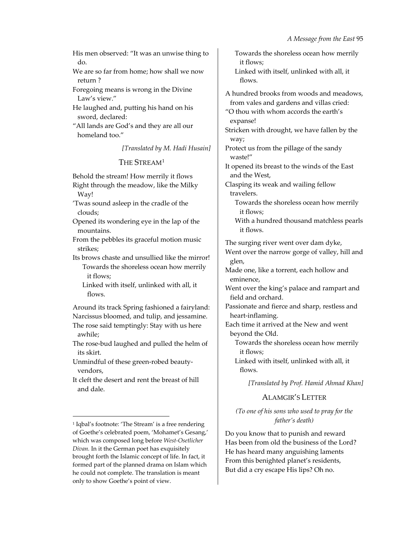His men observed: "It was an unwise thing to do.

We are so far from home; how shall we now return ?

Foregoing means is wrong in the Divine Law's view."

He laughed and, putting his hand on his sword, declared:

"All lands are God's and they are all our homeland too."

*[Translated by M. Hadi Husain]*

# THE STREAM[1](#page-32-0)

Behold the stream! How merrily it flows Right through the meadow, like the Milky Way! 'Twas sound asleep in the cradle of the clouds; Opened its wondering eye in the lap of the mountains.

From the pebbles its graceful motion music strikes;

Its brows chaste and unsullied like the mirror! Towards the shoreless ocean how merrily it flows;

Linked with itself, unlinked with all, it flows.

Around its track Spring fashioned a fairyland: Narcissus bloomed, and tulip, and jessamine.

The rose said temptingly: Stay with us here awhile;

The rose-bud laughed and pulled the helm of its skirt.

Unmindful of these green‐robed beauty‐ vendors,

It cleft the desert and rent the breast of hill and dale.

<u> 1989 - Johann Barn, mars eta bainar eta industrial eta bainar eta baina eta baina eta baina eta baina eta ba</u>

Towards the shoreless ocean how merrily it flows; Linked with itself, unlinked with all, it flows. A hundred brooks from woods and meadows, from vales and gardens and villas cried: "O thou with whom accords the earth's expanse! Stricken with drought, we have fallen by the way; Protect us from the pillage of the sandy waste!" It opened its breast to the winds of the East and the West, Clasping its weak and wailing fellow travelers. Towards the shoreless ocean how merrily it flows; With a hundred thousand matchless pearls it flows. The surging river went over dam dyke, Went over the narrow gorge of valley, hill and glen, Made one, like a torrent, each hollow and eminence, Went over the king's palace and rampart and field and orchard. Passionate and fierce and sharp, restless and heart‐inflaming. Each time it arrived at the New and went beyond the Old. Towards the shoreless ocean how merrily it flows; Linked with itself, unlinked with all, it

flows.

*[Translated by Prof. Hamid Ahmad Khan]*

# ALAMGIR'S LETTER

*(To one of his sons who used to pray for the father's death)*

Do you know that to punish and reward Has been from old the business of the Lord? He has heard many anguishing laments From this benighted planet's residents, But did a cry escape His lips? Oh no.

<span id="page-32-0"></span><sup>&</sup>lt;sup>1</sup> Iqbal's footnote: 'The Stream' is a free rendering of Goethe's celebrated poem, 'Mohamet's Gesang,' which was composed long before *West‐Osetlicher Divan.* In it the German poet has exquisitely brought forth the Islamic concept of life. In fact, it formed part of the planned drama on Islam which he could not complete. The translation is meant only to show Goethe's point of view.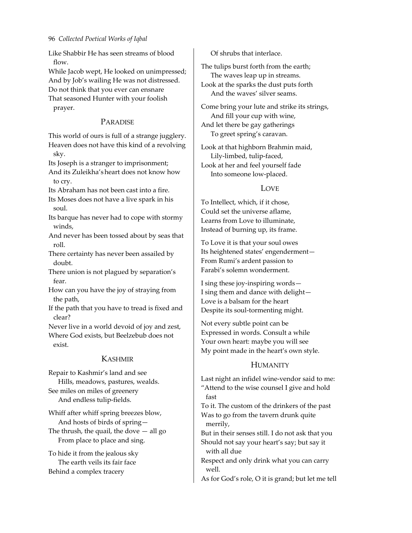Like Shabbir He has seen streams of blood flow.

While Jacob wept, He looked on unimpressed; And by Job's wailing He was not distressed.

Do not think that you ever can ensnare

That seasoned Hunter with your foolish prayer.

# PARADISE

This world of ours is full of a strange jugglery. Heaven does not have this kind of a revolving sky.

Its Joseph is a stranger to imprisonment; And its Zuleikha's heart does not know how to cry.

Its Abraham has not been cast into a fire.

Its Moses does not have a live spark in his soul.

Its barque has never had to cope with stormy winds,

And never has been tossed about by seas that roll.

There certainty has never been assailed by doubt.

There union is not plagued by separation's fear.

How can you have the joy of straying from the path,

If the path that you have to tread is fixed and clear?

Never live in a world devoid of joy and zest, Where God exists, but Beelzebub does not exist.

# KASHMIR

Repair to Kashmir's land and see Hills, meadows, pastures, wealds. See miles on miles of greenery And endless tulip‐fields.

Whiff after whiff spring breezes blow, And hosts of birds of spring— The thrush, the quail, the dove  $-$  all go From place to place and sing.

To hide it from the jealous sky The earth veils its fair face Behind a complex tracery

Of shrubs that interlace.

The tulips burst forth from the earth; The waves leap up in streams. Look at the sparks the dust puts forth And the waves' silver seams.

Come bring your lute and strike its strings, And fill your cup with wine, And let there be gay gatherings To greet spring's caravan.

Look at that highborn Brahmin maid, Lily‐limbed, tulip‐faced, Look at her and feel yourself fade Into someone low‐placed.

# LOVE

To Intellect, which, if it chose, Could set the universe aflame, Learns from Love to illuminate, Instead of burning up, its frame.

To Love it is that your soul owes Its heightened states' engenderment— From Rumi's ardent passion to Farabi's solemn wonderment.

I sing these joy‐inspiring words— I sing them and dance with delight— Love is a balsam for the heart Despite its soul‐tormenting might.

Not every subtle point can be Expressed in words. Consult a while Your own heart: maybe you will see My point made in the heart's own style.

# HUMANITY

Last night an infidel wine‐vendor said to me: "Attend to the wise counsel I give and hold fast

To it. The custom of the drinkers of the past Was to go from the tavern drunk quite merrily,

But in their senses still. I do not ask that you Should not say your heart's say; but say it with all due

Respect and only drink what you can carry well.

As for God's role, O it is grand; but let me tell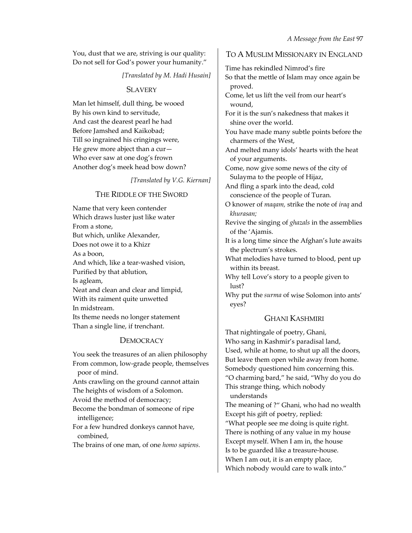You, dust that we are, striving is our quality: Do not sell for God's power your humanity."

*[Translated by M. Hadi Husain]*

### **SLAVERY**

Man let himself, dull thing, be wooed By his own kind to servitude, And cast the dearest pearl he had Before Jamshed and Kaikobad; Till so ingrained his cringings were, He grew more abject than a cur— Who ever saw at one dog's frown Another dog's meek head bow down?

*[Translated by V.G. Kiernan]*

# THE RIDDLE OF THE SWORD

Name that very keen contender Which draws luster just like water From a stone, But which, unlike Alexander, Does not owe it to a Khizr As a boon, And which, like a tear‐washed vision, Purified by that ablution, Is agleam, Neat and clean and clear and limpid, With its raiment quite unwetted In midstream. Its theme needs no longer statement Than a single line, if trenchant.

# **DEMOCRACY**

You seek the treasures of an alien philosophy From common, low‐grade people, themselves poor of mind.

Ants crawling on the ground cannot attain The heights of wisdom of a Solomon.

Avoid the method of democracy;

Become the bondman of someone of ripe intelligence;

For a few hundred donkeys cannot have, combined,

The brains of one man, of one *homo sapiens.*

### TO A MUSLIM MISSIONARY IN ENGLAND

Time has rekindled Nimrod's fire So that the mettle of Islam may once again be proved. Come, let us lift the veil from our heart's wound, For it is the sun's nakedness that makes it shine over the world. You have made many subtle points before the charmers of the West, And melted many idols' hearts with the heat of your arguments. Come, now give some news of the city of Sulayma to the people of Hijaz, And fling a spark into the dead, cold conscience of the people of Turan. O knower of *maqam,* strike the note of *iraq* and *khurasan;* Revive the singing of *ghazals* in the assemblies of the 'Ajamis. It is a long time since the Afghan's lute awaits the plectrum's strokes. What melodies have turned to blood, pent up within its breast. Why tell Love's story to a people given to lust? Why put the *surma* of wise Solomon into ants' eyes?

# GHANI KASHMIRI

That nightingale of poetry, Ghani, Who sang in Kashmir's paradisal land, Used, while at home, to shut up all the doors, But leave them open while away from home. Somebody questioned him concerning this. "O charming bard," he said, "Why do you do This strange thing, which nobody understands

The meaning of ?" Ghani, who had no wealth Except his gift of poetry, replied:

"What people see me doing is quite right. There is nothing of any value in my house Except myself. When I am in, the house Is to be guarded like a treasure‐house. When I am out, it is an empty place, Which nobody would care to walk into."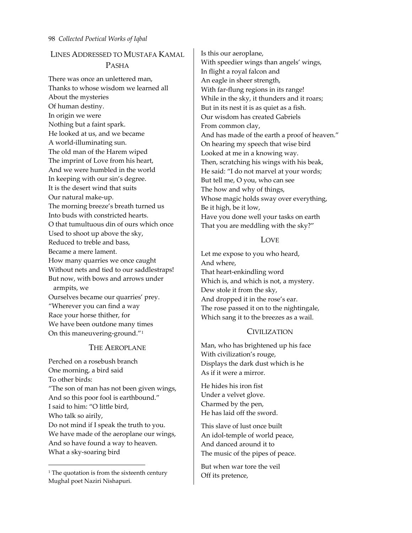# LINES ADDRESSED TO MUSTAFA KAMAL PASHA

There was once an unlettered man, Thanks to whose wisdom we learned all About the mysteries Of human destiny. In origin we were Nothing but a faint spark. He looked at us, and we became A world‐illuminating sun. The old man of the Harem wiped The imprint of Love from his heart, And we were humbled in the world In keeping with our sin's degree. It is the desert wind that suits Our natural make‐up. The morning breeze's breath turned us Into buds with constricted hearts. O that tumultuous din of ours which once Used to shoot up above the sky, Reduced to treble and bass, Became a mere lament. How many quarries we once caught Without nets and tied to our saddlestraps! But now, with bows and arrows under armpits, we Ourselves became our quarries' prey. "Wherever you can find a way Race your horse thither, for

### THE AEROPLANE

We have been outdone many times On this maneuvering-ground."<sup>[1](#page-35-0)</sup>

Perched on a rosebush branch One morning, a bird said To other birds: "The son of man has not been given wings, And so this poor fool is earthbound." I said to him: "O little bird, Who talk so airily, Do not mind if I speak the truth to you. We have made of the aeroplane our wings, And so have found a way to heaven. What a sky‐soaring bird

<u> 1989 - Johann Barn, mars eta bainar eta industrial eta bainar eta baina eta baina eta baina eta baina eta ba</u>

Is this our aeroplane, With speedier wings than angels' wings, In flight a royal falcon and An eagle in sheer strength, With far-flung regions in its range! While in the sky, it thunders and it roars; But in its nest it is as quiet as a fish. Our wisdom has created Gabriels From common clay, And has made of the earth a proof of heaven." On hearing my speech that wise bird Looked at me in a knowing way. Then, scratching his wings with his beak, He said: "I do not marvel at your words; But tell me, O you, who can see The how and why of things, Whose magic holds sway over everything, Be it high, be it low, Have you done well your tasks on earth That you are meddling with the sky?"

### LOVE

Let me expose to you who heard, And where, That heart‐enkindling word Which is, and which is not, a mystery. Dew stole it from the sky, And dropped it in the rose's ear. The rose passed it on to the nightingale, Which sang it to the breezes as a wail.

### CIVILIZATION

Man, who has brightened up his face With civilization's rouge, Displays the dark dust which is he As if it were a mirror.

He hides his iron fist Under a velvet glove. Charmed by the pen, He has laid off the sword.

This slave of lust once built An idol‐temple of world peace, And danced around it to The music of the pipes of peace.

But when war tore the veil Off its pretence,

<span id="page-35-0"></span><sup>&</sup>lt;sup>1</sup> The quotation is from the sixteenth century Mughal poet Naziri Nishapuri.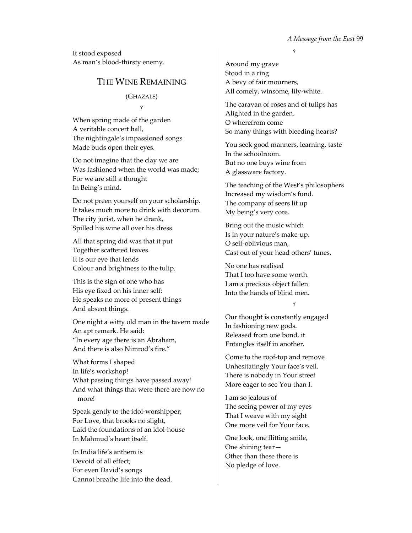It stood exposed As man's blood‐thirsty enemy.

# THE WINE REMAINING

(GHAZALS) Ÿ

When spring made of the garden A veritable concert hall, The nightingale's impassioned songs Made buds open their eyes.

Do not imagine that the clay we are Was fashioned when the world was made; For we are still a thought In Being's mind.

Do not preen yourself on your scholarship. It takes much more to drink with decorum. The city jurist, when he drank, Spilled his wine all over his dress.

All that spring did was that it put Together scattered leaves. It is our eye that lends Colour and brightness to the tulip.

This is the sign of one who has His eye fixed on his inner self: He speaks no more of present things And absent things.

One night a witty old man in the tavern made An apt remark. He said: "In every age there is an Abraham, And there is also Nimrod's fire."

What forms I shaped In life's workshop! What passing things have passed away! And what things that were there are now no more!

Speak gently to the idol‐worshipper; For Love, that brooks no slight, Laid the foundations of an idol‐house In Mahmud's heart itself.

In India life's anthem is Devoid of all effect; For even David's songs Cannot breathe life into the dead. Ÿ

Around my grave Stood in a ring A bevy of fair mourners, All comely, winsome, lily‐white.

The caravan of roses and of tulips has Alighted in the garden. O wherefrom come So many things with bleeding hearts?

You seek good manners, learning, taste In the schoolroom. But no one buys wine from A glassware factory.

The teaching of the West's philosophers Increased my wisdom's fund. The company of seers lit up My being's very core.

Bring out the music which Is in your nature's make‐up. O self‐oblivious man, Cast out of your head others' tunes.

No one has realised That I too have some worth. I am a precious object fallen Into the hands of blind men.

Ÿ

Our thought is constantly engaged In fashioning new gods. Released from one bond, it Entangles itself in another.

Come to the roof‐top and remove Unhesitatingly Your face's veil. There is nobody in Your street More eager to see You than I.

I am so jealous of The seeing power of my eyes That I weave with my sight One more veil for Your face.

One look, one flitting smile, One shining tear— Other than these there is No pledge of love.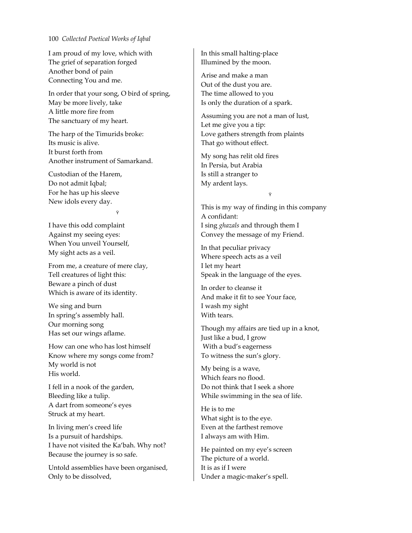I am proud of my love, which with The grief of separation forged Another bond of pain Connecting You and me.

In order that your song, O bird of spring, May be more lively, take A little more fire from The sanctuary of my heart.

The harp of the Timurids broke: Its music is alive. It burst forth from Another instrument of Samarkand.

Custodian of the Harem, Do not admit Iqbal; For he has up his sleeve New idols every day.

Ÿ

I have this odd complaint Against my seeing eyes: When You unveil Yourself, My sight acts as a veil.

From me, a creature of mere clay, Tell creatures of light this: Beware a pinch of dust Which is aware of its identity.

We sing and burn In spring's assembly hall. Our morning song Has set our wings aflame.

How can one who has lost himself Know where my songs come from? My world is not His world.

I fell in a nook of the garden, Bleeding like a tulip. A dart from someone's eyes Struck at my heart.

In living men's creed life Is a pursuit of hardships. I have not visited the Ka'bah. Why not? Because the journey is so safe.

Untold assemblies have been organised, Only to be dissolved,

In this small halting‐place Illumined by the moon.

Arise and make a man Out of the dust you are. The time allowed to you Is only the duration of a spark.

Assuming you are not a man of lust, Let me give you a tip: Love gathers strength from plaints That go without effect.

My song has relit old fires In Persia, but Arabia Is still a stranger to My ardent lays.

Ÿ

This is my way of finding in this company A confidant: I sing *ghazals* and through them I Convey the message of my Friend.

In that peculiar privacy Where speech acts as a veil I let my heart Speak in the language of the eyes.

In order to cleanse it And make it fit to see Your face, I wash my sight With tears.

Though my affairs are tied up in a knot, Just like a bud, I grow With a bud's eagerness To witness the sun's glory.

My being is a wave, Which fears no flood. Do not think that I seek a shore While swimming in the sea of life.

He is to me What sight is to the eye. Even at the farthest remove I always am with Him.

He painted on my eye's screen The picture of a world. It is as if I were Under a magic‐maker's spell.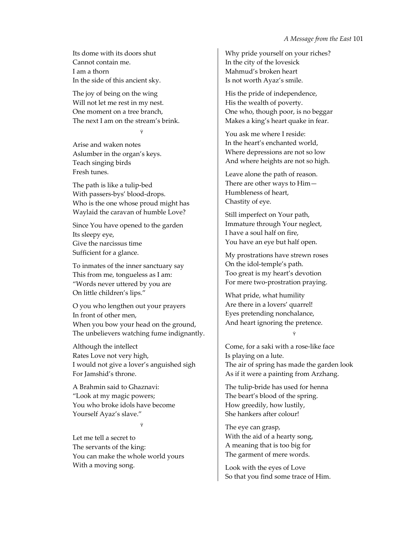Its dome with its doors shut Cannot contain me. I am a thorn In the side of this ancient sky.

The joy of being on the wing Will not let me rest in my nest. One moment on a tree branch, The next I am on the stream's brink.

Ÿ

Arise and waken notes Aslumber in the organ's keys. Teach singing birds Fresh tunes.

The path is like a tulip‐bed With passers‐bys' blood‐drops. Who is the one whose proud might has Waylaid the caravan of humble Love?

Since You have opened to the garden Its sleepy eye, Give the narcissus time Sufficient for a glance.

To inmates of the inner sanctuary say This from me, tongueless as I am: "Words never uttered by you are On little children's lips."

O you who lengthen out your prayers In front of other men, When you bow your head on the ground, The unbelievers watching fume indignantly.

Although the intellect Rates Love not very high, I would not give a lover's anguished sigh For Jamshid's throne.

A Brahmin said to Ghaznavi: "Look at my magic powers; You who broke idols have become Yourself Ayaz's slave."

Ÿ

Let me tell a secret to The servants of the king: You can make the whole world yours With a moving song.

Why pride yourself on your riches? In the city of the lovesick Mahmud's broken heart Is not worth Ayaz's smile.

His the pride of independence, His the wealth of poverty. One who, though poor, is no beggar Makes a king's heart quake in fear.

You ask me where I reside: In the heart's enchanted world, Where depressions are not so low And where heights are not so high.

Leave alone the path of reason. There are other ways to Him— Humbleness of heart, Chastity of eye.

Still imperfect on Your path, Immature through Your neglect, I have a soul half on fire, You have an eye but half open.

My prostrations have strewn roses On the idol‐temple's path. Too great is my heart's devotion For mere two‐prostration praying.

What pride, what humility Are there in a lovers' quarrel! Eyes pretending nonchalance, And heart ignoring the pretence.

#### Ÿ

Come, for a saki with a rose‐like face Is playing on a lute. The air of spring has made the garden look As if it were a painting from Arzhang.

The tulip‐bride has used for henna The beart's blood of the spring. How greedily, how lustily, She hankers after colour!

The eye can grasp, With the aid of a hearty song, A meaning that is too big for The garment of mere words.

Look with the eyes of Love So that you find some trace of Him.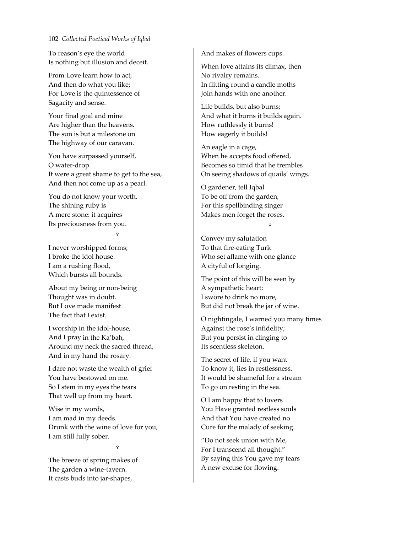To reason's eye the world Is nothing but illusion and deceit.

From Love learn how to act, And then do what you like; For Love is the quintessence of Sagacity and sense.

Your final goal and mine Are higher than the heavens. The sun is but a milestone on The highway of our caravan.

You have surpassed yourself, O water‐drop. It were a great shame to get to the sea, And then not come up as a pearl.

You do not know your worth. The shining ruby is A mere stone: it acquires Its preciousness from you.

Ÿ

I never worshipped forms; I broke the idol house. I am a rushing flood, Which bursts all bounds.

About my being or non‐being Thought was in doubt. But Love made manifest The fact that I exist.

I worship in the idol‐house, And I pray in the Ka'bah, Around my neck the sacred thread, And in my hand the rosary.

I dare not waste the wealth of grief You have bestowed on me. So I stem in my eyes the tears That well up from my heart.

Wise in my words, I am mad in my deeds. Drunk with the wine of love for you, I am still fully sober.

Ÿ

The breeze of spring makes of The garden a wine-tavern. It casts buds into jar‐shapes,

And makes of flowers cups.

When love attains its climax, then No rivalry remains. In flitting round a candle moths Join hands with one another.

Life builds, but also burns; And what it burns it builds again. How ruthlessly it burns! How eagerly it builds!

An eagle in a cage, When he accepts food offered, Becomes so timid that he trembles On seeing shadows of quails' wings.

O gardener, tell Iqbal To be off from the garden, For this spellbinding singer Makes men forget the roses.

Ÿ

Convey my salutation To that fire‐eating Turk Who set aflame with one glance A cityful of longing.

The point of this will be seen by A sympathetic heart: I swore to drink no more, But did not break the jar of wine.

O nightingale, I warned you many times Against the rose's infidelity; But you persist in clinging to Its scentless skeleton.

The secret of life, if you want To know it, lies in restlessness. It would be shameful for a stream To go on resting in the sea.

O I am happy that to lovers You Have granted restless souls And that You have created no Cure for the malady of seeking.

"Do not seek union with Me, For I transcend all thought." By saying this You gave my tears A new excuse for flowing.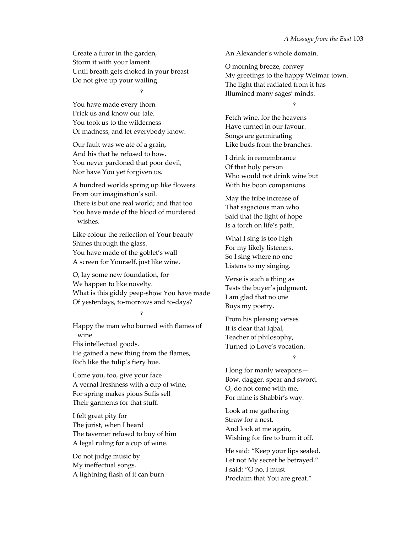Create a furor in the garden, Storm it with your lament. Until breath gets choked in your breast Do not give up your wailing.

Ÿ

You have made every thorn Prick us and know our tale. You took us to the wilderness Of madness, and let everybody know.

Our fault was we ate of a grain, And his that he refused to bow. You never pardoned that poor devil, Nor have You yet forgiven us.

A hundred worlds spring up like flowers From our imagination's soil. There is but one real world; and that too You have made of the blood of murdered wishes.

Like colour the reflection of Your beauty Shines through the glass. You have made of the goblet's wall A screen for Yourself, just like wine.

O, lay some new foundation, for We happen to like novelty. What is this giddy peep‐show You have made Of yesterdays, to‐morrows and to‐days?

Ÿ

Happy the man who burned with flames of wine His intellectual goods.

He gained a new thing from the flames, Rich like the tulip's fiery hue.

Come you, too, give your face A vernal freshness with a cup of wine, For spring makes pious Sufis sell Their garments for that stuff.

I felt great pity for The jurist, when I heard The taverner refused to buy of him A legal ruling for a cup of wine.

Do not judge music by My ineffectual songs. A lightning flash of it can burn An Alexander's whole domain.

O morning breeze, convey My greetings to the happy Weimar town. The light that radiated from it has Illumined many sages' minds.

Ÿ

Fetch wine, for the heavens Have turned in our favour. Songs are germinating Like buds from the branches.

I drink in remembrance Of that holy person Who would not drink wine but With his boon companions.

May the tribe increase of That sagacious man who Said that the light of hope Is a torch on life's path.

What I sing is too high For my likely listeners. So I sing where no one Listens to my singing.

Verse is such a thing as Tests the buyer's judgment. I am glad that no one Buys my poetry.

From his pleasing verses It is clear that Iqbal, Teacher of philosophy, Turned to Love's vocation.

Ÿ

I long for manly weapons— Bow, dagger, spear and sword. O, do not come with me, For mine is Shabbir's way.

Look at me gathering Straw for a nest, And look at me again, Wishing for fire to burn it off.

He said: "Keep your lips sealed. Let not My secret be betrayed." I said: "O no, I must Proclaim that You are great."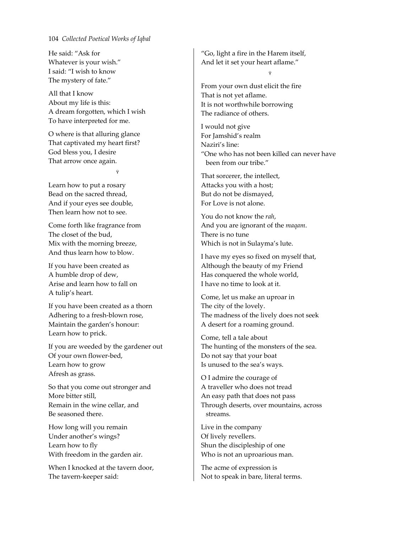He said: "Ask for Whatever is your wish." I said: "I wish to know The mystery of fate."

All that I know About my life is this: A dream forgotten, which I wish To have interpreted for me.

O where is that alluring glance That captivated my heart first? God bless you, I desire That arrow once again.

Ÿ

Learn how to put a rosary Bead on the sacred thread, And if your eyes see double, Then learn how not to see.

Come forth like fragrance from The closet of the bud, Mix with the morning breeze, And thus learn how to blow.

If you have been created as A humble drop of dew, Arise and learn how to fall on A tulip's heart.

If you have been created as a thorn Adhering to a fresh‐blown rose, Maintain the garden's honour: Learn how to prick.

If you are weeded by the gardener out Of your own flower‐bed, Learn how to grow Afresh as grass.

So that you come out stronger and More bitter still, Remain in the wine cellar, and Be seasoned there.

How long will you remain Under another's wings? Learn how to fly With freedom in the garden air.

When I knocked at the tavern door, The tavern‐keeper said:

"Go, light a fire in the Harem itself, And let it set your heart aflame."

Ÿ

From your own dust elicit the fire That is not yet aflame. It is not worthwhile borrowing The radiance of others.

I would not give For Jamshid's realm Naziri's line: "One who has not been killed can never have been from our tribe."

That sorcerer, the intellect, Attacks you with a host; But do not be dismayed, For Love is not alone.

You do not know the *rah*, And you are ignorant of the *maqam*. There is no tune Which is not in Sulayma's lute.

I have my eyes so fixed on myself that, Although the beauty of my Friend Has conquered the whole world, I have no time to look at it.

Come, let us make an uproar in The city of the lovely. The madness of the lively does not seek A desert for a roaming ground.

Come, tell a tale about The hunting of the monsters of the sea. Do not say that your boat Is unused to the sea's ways.

O I admire the courage of A traveller who does not tread An easy path that does not pass Through deserts, over mountains, across streams.

Live in the company Of lively revellers. Shun the discipleship of one Who is not an uproarious man.

The acme of expression is Not to speak in bare, literal terms.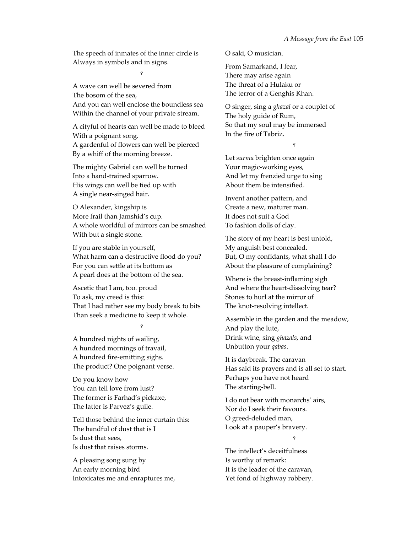The speech of inmates of the inner circle is Always in symbols and in signs.

Ÿ

A wave can well be severed from The bosom of the sea, And you can well enclose the boundless sea Within the channel of your private stream.

A cityful of hearts can well be made to bleed With a poignant song. A gardenful of flowers can well be pierced By a whiff of the morning breeze.

The mighty Gabriel can well be turned Into a hand‐trained sparrow. His wings can well be tied up with A single near‐singed hair.

O Alexander, kingship is More frail than Jamshid's cup. A whole worldful of mirrors can be smashed With but a single stone.

If you are stable in yourself, What harm can a destructive flood do you? For you can settle at its bottom as A pearl does at the bottom of the sea.

Ascetic that I am, too. proud To ask, my creed is this: That I had rather see my body break to bits Than seek a medicine to keep it whole.

Ÿ

A hundred nights of wailing, A hundred mornings of travail, A hundred fire‐emitting sighs. The product? One poignant verse.

Do you know how You can tell love from lust? The former is Farhad's pickaxe, The latter is Parvez's guile.

Tell those behind the inner curtain this: The handful of dust that is I Is dust that sees, Is dust that raises storms.

A pleasing song sung by An early morning bird Intoxicates me and enraptures me, O saki, O musician.

From Samarkand, I fear, There may arise again The threat of a Hulaku or The terror of a Genghis Khan.

O singer, sing a *ghazal* or a couplet of The holy guide of Rum, So that my soul may be immersed In the fire of Tabriz.

Ÿ

Let *surma* brighten once again Your magic‐working eyes, And let my frenzied urge to sing About them be intensified.

Invent another pattern, and Create a new, maturer man. It does not suit a God To fashion dolls of clay.

The story of my heart is best untold, My anguish best concealed. But, O my confidants, what shall I do About the pleasure of complaining?

Where is the breast-inflaming sigh And where the heart‐dissolving tear? Stones to hurl at the mirror of The knot‐resolving intellect.

Assemble in the garden and the meadow, And play the lute, Drink wine, sing *ghazals*, and Unbutton your *qabas*.

It is daybreak. The caravan Has said its prayers and is all set to start. Perhaps you have not heard The starting‐bell.

I do not bear with monarchs' airs, Nor do I seek their favours. O greed‐deluded man, Look at a pauper's bravery.

Ÿ

The intellect's deceitfulness Is worthy of remark: It is the leader of the caravan, Yet fond of highway robbery.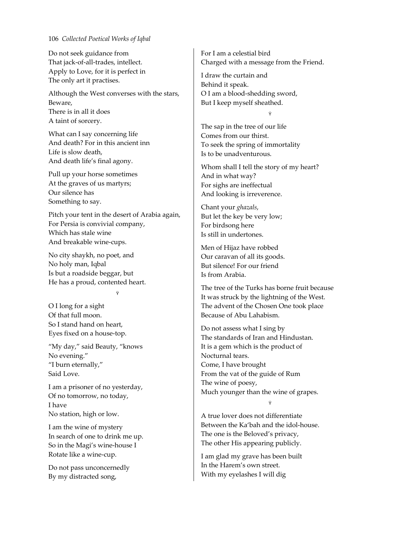Do not seek guidance from That jack‐of‐all‐trades, intellect. Apply to Love, for it is perfect in The only art it practises.

Although the West converses with the stars, Beware, There is in all it does A taint of sorcery.

What can I say concerning life And death? For in this ancient inn Life is slow death, And death life's final agony.

Pull up your horse sometimes At the graves of us martyrs; Our silence has Something to say.

Pitch your tent in the desert of Arabia again, For Persia is convivial company, Which has stale wine And breakable wine‐cups.

No city shaykh, no poet, and No holy man, Iqbal Is but a roadside beggar, but He has a proud, contented heart.

Ÿ

O I long for a sight Of that full moon. So I stand hand on heart, Eyes fixed on a house‐top.

"My day," said Beauty, "knows No evening." "I burn eternally," Said Love.

I am a prisoner of no yesterday, Of no tomorrow, no today, I have No station, high or low.

I am the wine of mystery In search of one to drink me up. So in the Magi's wine‐house I Rotate like a wine‐cup.

Do not pass unconcernedly By my distracted song,

For I am a celestial bird Charged with a message from the Friend.

I draw the curtain and Behind it speak. O I am a blood‐shedding sword, But I keep myself sheathed.

Ÿ

The sap in the tree of our life Comes from our thirst. To seek the spring of immortality Is to be unadventurous.

Whom shall I tell the story of my heart? And in what way? For sighs are ineffectual And looking is irreverence.

Chant your *ghazals*, But let the key be very low; For birdsong here Is still in undertones.

Men of Hijaz have robbed Our caravan of all its goods. But silence! For our friend Is from Arabia.

The tree of the Turks has borne fruit because It was struck by the lightning of the West. The advent of the Chosen One took place Because of Abu Lahabism.

Do not assess what I sing by The standards of Iran and Hindustan. It is a gem which is the product of Nocturnal tears. Come, I have brought From the vat of the guide of Rum The wine of poesy, Much younger than the wine of grapes.

Ÿ

A true lover does not differentiate Between the Ka'bah and the idol‐house. The one is the Beloved's privacy, The other His appearing publicly.

I am glad my grave has been built In the Harem's own street. With my eyelashes I will dig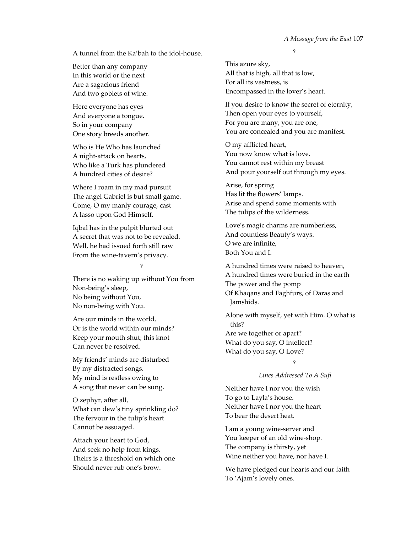A tunnel from the Ka'bah to the idol‐house.

Better than any company In this world or the next Are a sagacious friend And two goblets of wine.

Here everyone has eyes And everyone a tongue. So in your company One story breeds another.

Who is He Who has launched A night‐attack on hearts, Who like a Turk has plundered A hundred cities of desire?

Where I roam in my mad pursuit The angel Gabriel is but small game. Come, O my manly courage, cast A lasso upon God Himself.

Iqbal has in the pulpit blurted out A secret that was not to be revealed. Well, he had issued forth still raw From the wine‐tavern's privacy.

Ÿ

There is no waking up without You from Non‐being's sleep, No being without You, No non‐being with You.

Are our minds in the world, Or is the world within our minds? Keep your mouth shut; this knot Can never be resolved.

My friends' minds are disturbed By my distracted songs. My mind is restless owing to A song that never can be sung.

O zephyr, after all, What can dew's tiny sprinkling do? The fervour in the tulip's heart Cannot be assuaged.

Attach your heart to God, And seek no help from kings. Theirs is a threshold on which one Should never rub one's brow.

Ÿ

This azure sky, All that is high, all that is low, For all its vastness, is Encompassed in the lover's heart.

If you desire to know the secret of eternity, Then open your eyes to yourself, For you are many, you are one, You are concealed and you are manifest.

O my afflicted heart, You now know what is love. You cannot rest within my breast And pour yourself out through my eyes.

Arise, for spring Has lit the flowers' lamps. Arise and spend some moments with The tulips of the wilderness.

Love's magic charms are numberless, And countless Beauty's ways. O we are infinite, Both You and I.

A hundred times were raised to heaven, A hundred times were buried in the earth The power and the pomp Of Khaqans and Faghfurs, of Daras and Jamshids.

Alone with myself, yet with Him. O what is this? Are we together or apart? What do you say, O intellect? What do you say, O Love?

# Ÿ *Lines Addressed To A Sufi*

Neither have I nor you the wish To go to Layla's house. Neither have I nor you the heart To bear the desert heat.

I am a young wine‐server and You keeper of an old wine-shop. The company is thirsty, yet Wine neither you have, nor have I.

We have pledged our hearts and our faith To 'Ajam's lovely ones.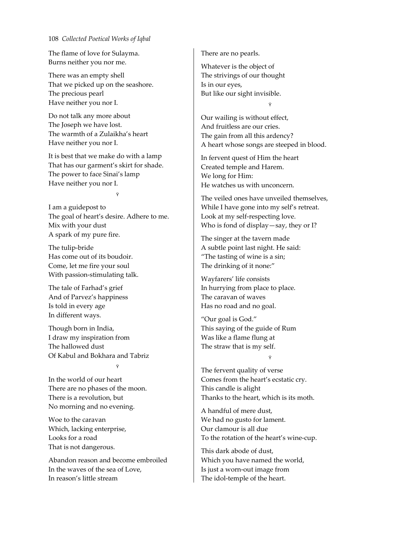The flame of love for Sulayma. Burns neither you nor me.

There was an empty shell That we picked up on the seashore. The precious pearl Have neither you nor I.

Do not talk any more about The Joseph we have lost. The warmth of a Zulaikha's heart Have neither you nor I.

It is best that we make do with a lamp That has our garment's skirt for shade. The power to face Sinai's lamp Have neither you nor I.

Ÿ

I am a guidepost to The goal of heart's desire. Adhere to me. Mix with your dust A spark of my pure fire.

The tulip‐bride Has come out of its boudoir. Come, let me fire your soul With passion‐stimulating talk.

The tale of Farhad's grief And of Parvez's happiness Is told in every age In different ways.

Though born in India, I draw my inspiration from The hallowed dust Of Kabul and Bokhara and Tabriz Ÿ

In the world of our heart There are no phases of the moon. There is a revolution, but No morning and no evening.

Woe to the caravan Which, lacking enterprise, Looks for a road That is not dangerous.

Abandon reason and become embroiled In the waves of the sea of Love, In reason's little stream

There are no pearls.

Whatever is the object of The strivings of our thought Is in our eyes, But like our sight invisible.

Ÿ

Our wailing is without effect, And fruitless are our cries. The gain from all this ardency? A heart whose songs are steeped in blood.

In fervent quest of Him the heart Created temple and Harem. We long for Him: He watches us with unconcern.

The veiled ones have unveiled themselves, While I have gone into my self's retreat. Look at my self‐respecting love. Who is fond of display—say, they or I?

The singer at the tavern made A subtle point last night. He said: "The tasting of wine is a sin; The drinking of it none:"

Wayfarers' life consists In hurrying from place to place. The caravan of waves Has no road and no goal.

"Our goal is God." This saying of the guide of Rum Was like a flame flung at The straw that is my self.

Ÿ

The fervent quality of verse Comes from the heart's ecstatic cry. This candle is alight Thanks to the heart, which is its moth.

A handful of mere dust, We had no gusto for lament. Our clamour is all due To the rotation of the heart's wine‐cup.

This dark abode of dust, Which you have named the world, Is just a worn‐out image from The idol-temple of the heart.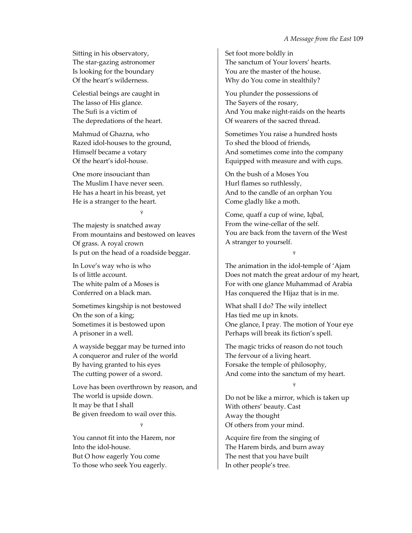Sitting in his observatory, The star‐gazing astronomer Is looking for the boundary Of the heart's wilderness.

Celestial beings are caught in The lasso of His glance. The Sufi is a victim of The depredations of the heart.

Mahmud of Ghazna, who Razed idol‐houses to the ground, Himself became a votary Of the heart's idol‐house.

One more insouciant than The Muslim I have never seen. He has a heart in his breast, yet He is a stranger to the heart.

Ÿ

The majesty is snatched away From mountains and bestowed on leaves Of grass. A royal crown Is put on the head of a roadside beggar.

In Love's way who is who Is of little account. The white palm of a Moses is Conferred on a black man.

Sometimes kingship is not bestowed On the son of a king; Sometimes it is bestowed upon A prisoner in a well.

A wayside beggar may be turned into A conqueror and ruler of the world By having granted to his eyes The cutting power of a sword.

Love has been overthrown by reason, and The world is upside down. It may be that I shall Be given freedom to wail over this.

Ÿ

You cannot fit into the Harem, nor Into the idol‐house. But O how eagerly You come To those who seek You eagerly.

Set foot more boldly in The sanctum of Your lovers' hearts. You are the master of the house. Why do You come in stealthily?

You plunder the possessions of The Sayers of the rosary, And You make night‐raids on the hearts Of wearers of the sacred thread.

Sometimes You raise a hundred hosts To shed the blood of friends, And sometimes come into the company Equipped with measure and with cups.

On the bush of a Moses You Hurl flames so ruthlessly, And to the candle of an orphan You Come gladly like a moth.

Come, quaff a cup of wine, Iqbal, From the wine‐cellar of the self. You are back from the tavern of the West A stranger to yourself.

Ÿ

The animation in the idol‐temple of 'Ajam Does not match the great ardour of my heart, For with one glance Muhammad of Arabia Has conquered the Hijaz that is in me.

What shall I do? The wily intellect Has tied me up in knots. One glance, I pray. The motion of Your eye Perhaps will break its fiction's spell.

The magic tricks of reason do not touch The fervour of a living heart. Forsake the temple of philosophy, And come into the sanctum of my heart.

Do not be like a mirror, which is taken up With others' beauty. Cast Away the thought Of others from your mind.

Ÿ

Acquire fire from the singing of The Harem birds, and burn away The nest that you have built In other people's tree.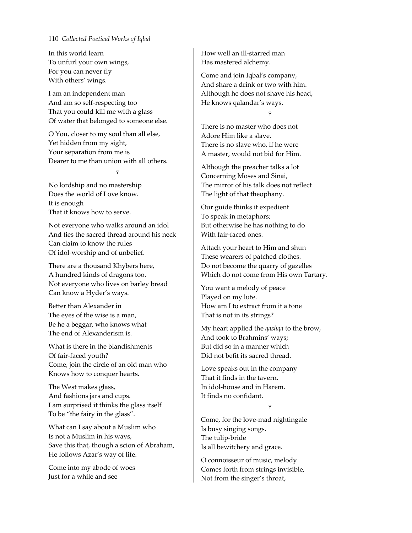In this world learn To unfurl your own wings, For you can never fly With others' wings.

I am an independent man And am so self‐respecting too That you could kill me with a glass Of water that belonged to someone else.

O You, closer to my soul than all else, Yet hidden from my sight, Your separation from me is Dearer to me than union with all others.

Ÿ

No lordship and no mastership Does the world of Love know. It is enough That it knows how to serve.

Not everyone who walks around an idol And ties the sacred thread around his neck Can claim to know the rules Of idol‐worship and of unbelief.

There are a thousand Khybers here, A hundred kinds of dragons too. Not everyone who lives on barley bread Can know a Hyder's ways.

Better than Alexander in The eyes of the wise is a man, Be he a beggar, who knows what The end of Alexanderism is.

What is there in the blandishments Of fair‐faced youth? Come, join the circle of an old man who Knows how to conquer hearts.

The West makes glass, And fashions jars and cups. I am surprised it thinks the glass itself To be "the fairy in the glass".

What can I say about a Muslim who Is not a Muslim in his ways, Save this that, though a scion of Abraham, He follows Azar's way of life.

Come into my abode of woes Just for a while and see

How well an ill‐starred man Has mastered alchemy.

Come and join Iqbal's company, And share a drink or two with him. Although he does not shave his head, He knows qalandar's ways.

Ÿ

There is no master who does not Adore Him like a slave. There is no slave who, if he were A master, would not bid for Him.

Although the preacher talks a lot Concerning Moses and Sinai, The mirror of his talk does not reflect The light of that theophany.

Our guide thinks it expedient To speak in metaphors; But otherwise he has nothing to do With fair‐faced ones.

Attach your heart to Him and shun These wearers of patched clothes. Do not become the quarry of gazelles Which do not come from His own Tartary.

You want a melody of peace Played on my lute. How am I to extract from it a tone That is not in its strings?

My heart applied the *qashqa* to the brow, And took to Brahmins' ways; But did so in a manner which Did not befit its sacred thread.

Love speaks out in the company That it finds in the tavern. In idol‐house and in Harem. It finds no confidant.

Ÿ

Come, for the love‐mad nightingale Is busy singing songs. The tulip‐bride Is all bewitchery and grace.

O connoisseur of music, melody Comes forth from strings invisible, Not from the singer's throat,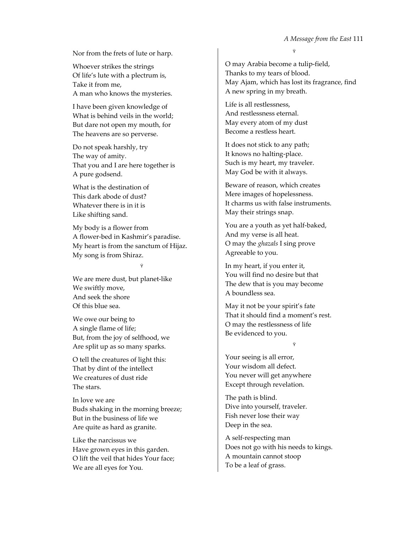Ÿ

Nor from the frets of lute or harp.

Whoever strikes the strings Of life's lute with a plectrum is, Take it from me, A man who knows the mysteries.

I have been given knowledge of What is behind veils in the world; But dare not open my mouth, for The heavens are so perverse.

Do not speak harshly, try The way of amity. That you and I are here together is A pure godsend.

What is the destination of This dark abode of dust? Whatever there is in it is Like shifting sand.

My body is a flower from A flower‐bed in Kashmir's paradise. My heart is from the sanctum of Hijaz. My song is from Shiraz.

Ÿ

We are mere dust, but planet‐like We swiftly move, And seek the shore Of this blue sea.

We owe our being to A single flame of life; But, from the joy of selfhood, we Are split up as so many sparks.

O tell the creatures of light this: That by dint of the intellect We creatures of dust ride The stars.

In love we are Buds shaking in the morning breeze; But in the business of life we Are quite as hard as granite.

Like the narcissus we Have grown eyes in this garden. O lift the veil that hides Your face; We are all eyes for You.

O may Arabia become a tulip‐field, Thanks to my tears of blood. May Ajam, which has lost its fragrance, find A new spring in my breath.

Life is all restlessness, And restlessness eternal. May every atom of my dust Become a restless heart.

It does not stick to any path; It knows no halting‐place. Such is my heart, my traveler. May God be with it always.

Beware of reason, which creates Mere images of hopelessness. It charms us with false instruments. May their strings snap.

You are a youth as yet half-baked, And my verse is all heat. O may the *ghazals* I sing prove Agreeable to you.

In my heart, if you enter it, You will find no desire but that The dew that is you may become A boundless sea.

May it not be your spirit's fate That it should find a moment's rest. O may the restlessness of life Be evidenced to you.

### Ÿ

Your seeing is all error, Your wisdom all defect. You never will get anywhere Except through revelation.

The path is blind. Dive into yourself, traveler. Fish never lose their way Deep in the sea.

A self‐respecting man Does not go with his needs to kings. A mountain cannot stoop To be a leaf of grass.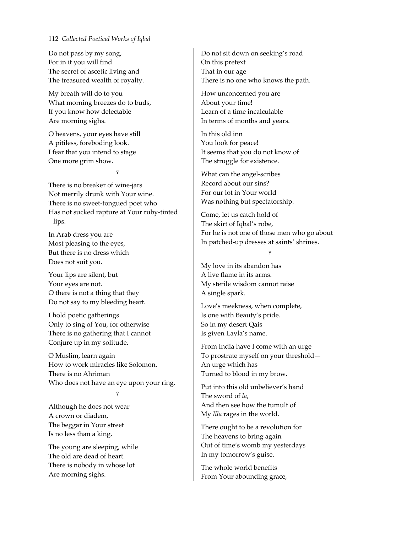Do not pass by my song, For in it you will find The secret of ascetic living and The treasured wealth of royalty.

My breath will do to you What morning breezes do to buds, If you know how delectable Are morning sighs.

O heavens, your eyes have still A pitiless, foreboding look. I fear that you intend to stage One more grim show.

Ÿ

There is no breaker of wine‐jars Not merrily drunk with Your wine. There is no sweet‐tongued poet who Has not sucked rapture at Your ruby‐tinted lips.

In Arab dress you are Most pleasing to the eyes, But there is no dress which Does not suit you.

Your lips are silent, but Your eyes are not. O there is not a thing that they Do not say to my bleeding heart.

I hold poetic gatherings Only to sing of You, for otherwise There is no gathering that I cannot Conjure up in my solitude.

O Muslim, learn again How to work miracles like Solomon. There is no Ahriman Who does not have an eye upon your ring.

Ÿ

Although he does not wear A crown or diadem, The beggar in Your street Is no less than a king.

The young are sleeping, while The old are dead of heart. There is nobody in whose lot Are morning sighs.

Do not sit down on seeking's road On this pretext That in our age There is no one who knows the path.

How unconcerned you are About your time! Learn of a time incalculable In terms of months and years.

In this old inn You look for peace! It seems that you do not know of The struggle for existence.

What can the angel‐scribes Record about our sins? For our lot in Your world Was nothing but spectatorship.

Come, let us catch hold of The skirt of Iqbal's robe, For he is not one of those men who go about In patched‐up dresses at saints' shrines.

#### Ÿ

My love in its abandon has A live flame in its arms. My sterile wisdom cannot raise A single spark.

Love's meekness, when complete, Is one with Beauty's pride. So in my desert Qais Is given Layla's name.

From India have I come with an urge To prostrate myself on your threshold— An urge which has Turned to blood in my brow.

Put into this old unbeliever's hand The sword of *la*, And then see how the tumult of My *Illa* rages in the world.

There ought to be a revolution for The heavens to bring again Out of time's womb my yesterdays In my tomorrow's guise.

The whole world benefits From Your abounding grace,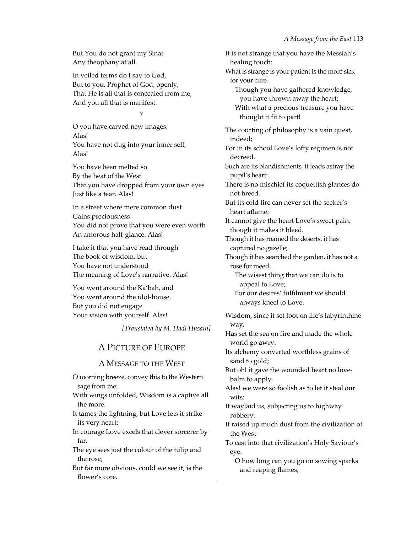But You do not grant my Sinai Any theophany at all.

In veiled terms do I say to God, But to you, Prophet of God, openly, That He is all that is concealed from me, And you all that is manifest.

Ÿ

O you have carved new images, Alas! You have not dug into your inner self, Alas!

You have been melted so By the heat of the West That you have dropped from your own eyes Just like a tear. Alas!

In a street where mere common dust Gains preciousness You did not prove that you were even worth An amorous half‐glance. Alas!

I take it that you have read through The book of wisdom, but You have not understood The meaning of Love's narrative. Alas!

You went around the Ka'bah, and You went around the idol-house. But you did not engage Your vision with yourself. Alas!

*[Translated by M. Hadi Husain]*

# A PICTURE OF EUROPE

# A MESSAGE TO THE WEST

O morning breeze, convey this to the Western sage from me:

With wings unfolded, Wisdom is a captive all the more.

It tames the lightning, but Love lets it strike its very heart:

In courage Love excels that clever sorcerer by far.

The eye sees just the colour of the tulip and the rose;

But far more obvious, could we see it, is the flower's core.

It is not strange that you have the Messiah's healing touch: What is strange is your patient is the more sick for your cure. Though you have gathered knowledge, you have thrown away the heart; With what a precious treasure you have thought it fit to part! The courting of philosophy is a vain quest, indeed; For in its school Love's lofty regimen is not decreed. Such are its blandishments, it leads astray the pupil's heart: There is no mischief its coquettish glances do not breed. But its cold fire can never set the seeker's heart aflame: It cannot give the heart Love's sweet pain, though it makes it bleed. Though it has roamed the deserts, it has captured no gazelle; Though it has searched the garden, it has not a rose for meed. The wisest thing that we can do is to appeal to Love; For our desires' fulfilment we should always kneel to Love. Wisdom, since it set foot on life's labyrinthine way, Has set the sea on fire and made the whole world go awry. Its alchemy converted worthless grains of sand to gold; But oh! it gave the wounded heart no love‐ balm to apply. Alas! we were so foolish as to let it steal our wits: It waylaid us, subjecting us to highway robbery. It raised up much dust from the civilization of the West To cast into that civilization's Holy Saviour's eye.

O how long can you go on sowing sparks and reaping flames,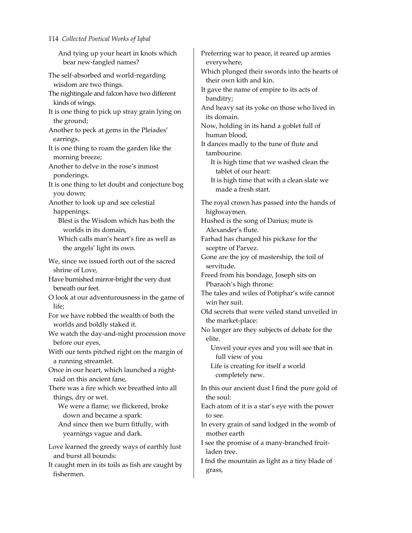And tying up your heart in knots which bear new‐fangled names?

The self‐absorbed and world‐regarding wisdom are two things.

The nightingale and falcon have two different kinds of wings.

It is one thing to pick up stray grain lying on the ground;

Another to peck at gems in the Pleiades' earrings.

It is one thing to roam the garden like the morning breeze;

Another to delve in the rose's inmost ponderings.

It is one thing to let doubt and conjecture bog you down;

Another to look up and see celestial happenings.

Blest is the Wisdom which has both the worlds in its domain,

Which calls man's heart's fire as well as the angels' light its own.

We, since we issued forth out of the sacred shrine of Love,

Have burnished mirror‐bright the very dust beneath our feet.

O look at our adventurousness in the game of life;

For we have robbed the wealth of both the worlds and boldly staked it.

We watch the day-and-night procession move before our eyes,

With our tents pitched right on the margin of a running streamlet.

Once in our heart, which launched a night‐ raid on this ancient fane,

There was a fire which we breathed into all things, dry or wet.

We were a flame; we flickered, broke down and became a spark:

And since then we burn fitfully, with yearnings vague and dark.

Love learned the greedy ways of earthly lust and burst all bounds:

It caught men in its toils as fish are caught by fishermen.

Preferring war to peace, it reared up armies everywhere, Which plunged their swords into the hearts of their own kith and kin. It gave the name of empire to its acts of banditry; And heavy sat its yoke on those who lived in its domain. Now, holding in its hand a goblet full of human blood, It dances madly to the tune of flute and tambourine. It is high time that we washed clean the tablet of our heart: It is high time that with a clean slate we made a fresh start. The royal crown has passed into the hands of highwaymen. Hushed is the song of Darius; mute is Alexander's flute. Farhad has changed his pickaxe for the sceptre of Parvez. Gone are the joy of mastership, the toil of servitude. Freed from his bondage, Joseph sits on Pharaoh's high throne: The tales and wiles of Potiphar's wife cannot win her suit. Old secrets that were veiled stand unveiled in the market‐place: No longer are they subjects of debate for the elite. Unveil your eyes and you will see that in full view of you Life is creating for itself a world completely new. In this our ancient dust I find the pure gold of the soul: Each atom of it is a star's eye with the power to see. In every grain of sand lodged in the womb of mother earth I see the promise of a many‐branched fruit‐ laden tree.

I fnd the mountain as light as a tiny blade of grass,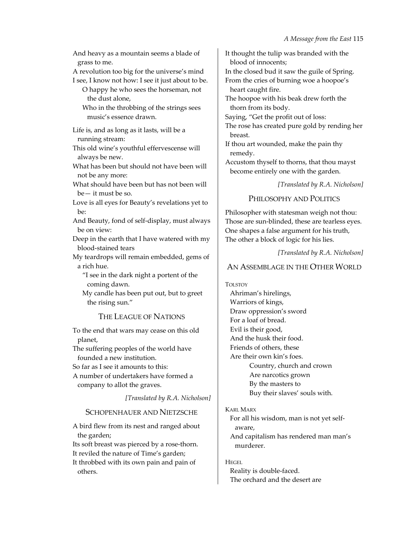And heavy as a mountain seems a blade of grass to me.

A revolution too big for the universe's mind

I see, I know not how: I see it just about to be.

O happy he who sees the horseman, not the dust alone,

Who in the throbbing of the strings sees music's essence drawn.

Life is, and as long as it lasts, will be a running stream:

This old wine's youthful effervescense will always be new.

What has been but should not have been will not be any more:

What should have been but has not been will be— it must be so.

Love is all eyes for Beauty's revelations yet to be:

And Beauty, fond of self‐display, must always be on view:

Deep in the earth that I have watered with my blood‐stained tears

My teardrops will remain embedded, gems of a rich hue.

"I see in the dark night a portent of the coming dawn.

My candle has been put out, but to greet the rising sun."

THE LEAGUE OF NATIONS

To the end that wars may cease on this old planet,

- The suffering peoples of the world have founded a new institution.
- So far as I see it amounts to this:

A number of undertakers have formed a company to allot the graves.

*[Translated by R.A. Nicholson]*

### SCHOPENHAUER AND NIETZSCHE

A bird flew from its nest and ranged about the garden;

Its soft breast was pierced by a rose-thorn. It reviled the nature of Time's garden; It throbbed with its own pain and pain of others.

It thought the tulip was branded with the blood of innocents;

In the closed bud it saw the guile of Spring. From the cries of burning woe a hoopoe's heart caught fire.

The hoopoe with his beak drew forth the thorn from its body.

Saying, "Get the profit out of loss:

The rose has created pure gold by rending her breast.

If thou art wounded, make the pain thy remedy.

Accustom thyself to thorns, that thou mayst become entirely one with the garden.

*[Translated by R.A. Nicholson]*

### PHILOSOPHY AND POLITICS

Philosopher with statesman weigh not thou: Those are sun‐blinded, these are tearless eyes. One shapes a false argument for his truth, The other a block of logic for his lies.

*[Translated by R.A. Nicholson]*

# AN ASSEMBLAGE IN THE OTHER WORLD

TOLSTOY Ahriman's hirelings, Warriors of kings, Draw oppression's sword For a loaf of bread. Evil is their good, And the husk their food. Friends of others, these Are their own kin's foes. Country, church and crown Are narcotics grown By the masters to Buy their slaves' souls with.

KARL MARX

For all his wisdom, man is not yet self‐ aware, And capitalism has rendered man man's murderer.

#### HEGEL

Reality is double‐faced. The orchard and the desert are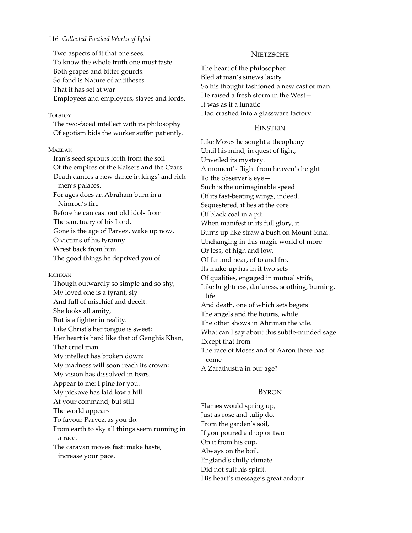Two aspects of it that one sees. To know the whole truth one must taste Both grapes and bitter gourds. So fond is Nature of antitheses That it has set at war Employees and employers, slaves and lords.

#### TOLSTOY

The two‐faced intellect with its philosophy Of egotism bids the worker suffer patiently.

#### MAZDAK

Iran's seed sprouts forth from the soil Of the empires of the Kaisers and the Czars. Death dances a new dance in kings' and rich men's palaces. For ages does an Abraham burn in a Nimrod's fire Before he can cast out old idols from The sanctuary of his Lord. Gone is the age of Parvez, wake up now, O victims of his tyranny. Wrest back from him

The good things he deprived you of.

#### KOHKAN

Though outwardly so simple and so shy, My loved one is a tyrant, sly And full of mischief and deceit. She looks all amity, But is a fighter in reality. Like Christ's her tongue is sweet: Her heart is hard like that of Genghis Khan, That cruel man. My intellect has broken down: My madness will soon reach its crown; My vision has dissolved in tears. Appear to me: I pine for you. My pickaxe has laid low a hill At your command; but still The world appears To favour Parvez, as you do. From earth to sky all things seem running in a race. The caravan moves fast: make haste, increase your pace.

### **NIETZSCHE**

The heart of the philosopher Bled at man's sinews laxity So his thought fashioned a new cast of man. He raised a fresh storm in the West— It was as if a lunatic Had crashed into a glassware factory.

### **EINSTEIN**

Like Moses he sought a theophany Until his mind, in quest of light, Unveiled its mystery. A moment's flight from heaven's height To the observer's eye— Such is the unimaginable speed Of its fast‐beating wings, indeed. Sequestered, it lies at the core Of black coal in a pit. When manifest in its full glory, it Burns up like straw a bush on Mount Sinai. Unchanging in this magic world of more Or less, of high and low, Of far and near, of to and fro, Its make‐up has in it two sets Of qualities, engaged in mutual strife, Like brightness, darkness, soothing, burning, life And death, one of which sets begets The angels and the houris, while The other shows in Ahriman the vile. What can I say about this subtle‐minded sage Except that from The race of Moses and of Aaron there has come A Zarathustra in our age?

### BYRON

Flames would spring up, Just as rose and tulip do, From the garden's soil, If you poured a drop or two On it from his cup, Always on the boil. England's chilly climate Did not suit his spirit. His heart's message's great ardour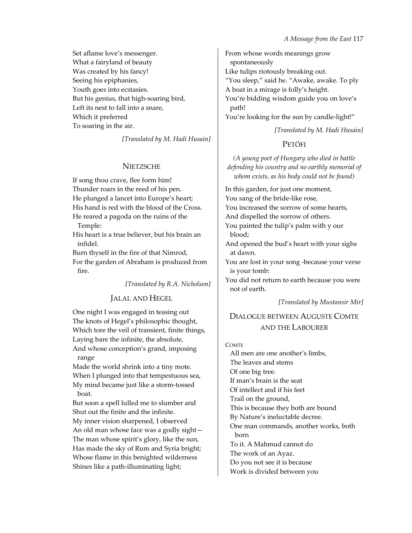Set aflame love's messenger. What a fairyland of beauty Was created by his fancy! Seeing his epiphanies, Youth goes into ecstasies. But his genius, that high‐soaring bird, Left its nest to fall into a snare, Which it preferred To soaring in the air.

*[Translated by M. Hadi Husain]*

# **NIETZSCHE**

If song thou crave, flee form him! Thunder roars in the reed of his pen. He plunged a lancet into Europe's heart; His hand is red with the blood of the Cross. He reared a pagoda on the ruins of the

Temple:

His heart is a true believer, but his brain an infidel.

Burn thyself in the fire of that Nimrod, For the garden of Abraham is produced from fire.

*[Translated by R.A. Nicholson]*

# JALAL AND HEGEL

One night I was engaged in teasing out The knots of Hegel's philosophic thought, Which tore the veil of transient, finite things, Laying bare the infinite, the absolute, And whose conception's grand, imposing range

Made the world shrink into a tiny mote. When I plunged into that tempestuous sea, My mind became just like a storm‐tossed boat.

But soon a spell lulled me to slumber and Shut out the finite and the infinite. My inner vision sharpened, I observed An old man whose face was a godly sight— The man whose spirit's glory, like the sun, Has made the sky of Rum and Syria bright; Whose flame in this benighted wilderness Shines like a path‐illuminating light;

From whose words meanings grow spontaneously Like tulips riotously breaking out. "You sleep," said he. "Awake, awake. To ply A boat in a mirage is folly's height. You're bidding wisdom guide you on love's path! You're looking for the sun by candle-light!"

*[Translated by M. Hadi Husain]*

# PETÖFI

*(A young poet of Hungary who died in battle defending his country and no earthly memorial of whom exists, as his body could not be found)*

In this garden, for just one moment, You sang of the bride-like rose, You increased the sorrow of some hearts, And dispelled the sorrow of others. You painted the tulip's palm with y our blood; And opened the bud's heart with your sighs

at dawn. You are lost in your song -because your verse is your tomb:

You did not return to earth because you were not of earth.

*[Translated by Mustansir Mir]*

# DIALOGUE BETWEEN AUGUSTE COMTE AND THE LABOURER

**COMTE** 

All men are one another's limbs, The leaves and stems Of one big tree. If man's brain is the seat Of intellect and if his feet Trail on the ground, This is because they both are bound By Nature's ineluctable decree. One man commands, another works, both born To it. A Mahmud cannot do The work of an Ayaz. Do you not see it is because Work is divided between you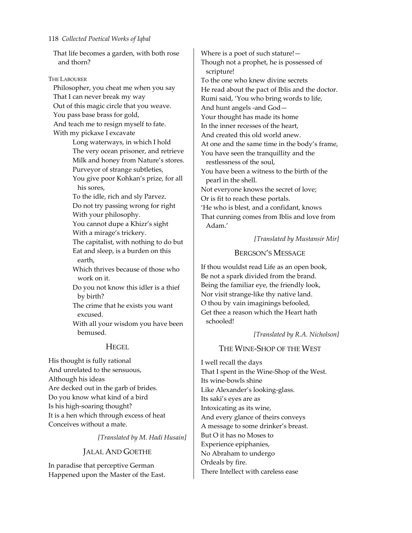That life becomes a garden, with both rose and thorn?

THE LABOURER

Philosopher, you cheat me when you say That I can never break my way Out of this magic circle that you weave. You pass base brass for gold, And teach me to resign myself to fate. With my pickaxe I excavate

> Long waterways, in which I hold The very ocean prisoner, and retrieve Milk and honey from Nature's stores. Purveyor of strange subtleties, You give poor Kohkan's prize, for all his sores,

To the idle, rich and sly Parvez. Do not try passing wrong for right With your philosophy.

You cannot dupe a Khizr's sight With a mirage's trickery.

The capitalist, with nothing to do but Eat and sleep, is a burden on this earth,

Which thrives because of those who work on it.

Do you not know this idler is a thief by birth?

The crime that he exists you want excused.

With all your wisdom you have been bemused.

# **HEGEL**

His thought is fully rational And unrelated to the sensuous, Although his ideas Are decked out in the garb of brides. Do you know what kind of a bird Is his high‐soaring thought? It is a hen which through excess of heat Conceives without a mate.

*[Translated by M. Hadi Husain]*

# JALAL AND GOETHE

In paradise that perceptive German Happened upon the Master of the East.

Where is a poet of such stature!— Though not a prophet, he is possessed of scripture! To the one who knew divine secrets He read about the pact of Iblis and the doctor. Rumi said, 'You who bring words to life, And hunt angels ‐and God— Your thought has made its home In the inner recesses of the heart, And created this old world anew. At one and the same time in the body's frame, You have seen the tranquillity and the restlessness of the soul, You have been a witness to the birth of the pearl in the shell. Not everyone knows the secret of love; Or is fit to reach these portals. 'He who is blest, and a confidant, knows That cunning comes from Iblis and love from Adam.'

*[Translated by Mustansir Mir]*

### BERGSON'S MESSAGE

If thou wouldst read Life as an open book, Be not a spark divided from the brand. Being the familiar eye, the friendly look, Nor visit strange‐like thy native land. O thou by vain imaginings befooled, Get thee a reason which the Heart hath schooled!

*[Translated by R.A. Nicholson]*

# THE WINE‐SHOP OF THE WEST

I well recall the days That I spent in the Wine‐Shop of the West. Its wine‐bowls shine Like Alexander's looking‐glass. Its saki's eyes are as Intoxicating as its wine, And every glance of theirs conveys A message to some drinker's breast. But O it has no Moses to Experience epiphanies, No Abraham to undergo Ordeals by fire. There Intellect with careless ease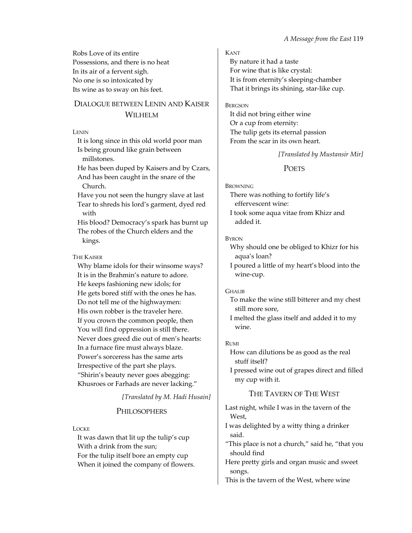Robs Love of its entire Possessions, and there is no heat In its air of a fervent sigh. No one is so intoxicated by Its wine as to sway on his feet.

# DIALOGUE BETWEEN LENIN AND KAISER WILHELM

**LENIN** 

It is long since in this old world poor man Is being ground like grain between millstones.

He has been duped by Kaisers and by Czars, And has been caught in the snare of the Church.

Have you not seen the hungry slave at last Tear to shreds his lord's garment, dyed red with

His blood? Democracy's spark has burnt up The robes of the Church elders and the kings.

#### THE KAISER

Why blame idols for their winsome ways? It is in the Brahmin's nature to adore. He keeps fashioning new idols; for He gets bored stiff with the ones he has. Do not tell me of the highwaymen: His own robber is the traveler here. If you crown the common people, then You will find oppression is still there. Never does greed die out of men's hearts: In a furnace fire must always blaze. Power's sorceress has the same arts Irrespective of the part she plays. "Shirin's beauty never goes abegging: Khusroes or Farhads are never lacking."

*[Translated by M. Hadi Husain]*

# **PHILOSOPHERS**

#### LOCKE

It was dawn that lit up the tulip's cup With a drink from the sun; For the tulip itself bore an empty cup When it joined the company of flowers.

#### KANT

By nature it had a taste For wine that is like crystal: It is from eternity's sleeping‐chamber That it brings its shining, star‐like cup.

#### **BERGSON**

It did not bring either wine Or a cup from eternity: The tulip gets its eternal passion From the scar in its own heart.

#### *[Translated by Mustansir Mir]*

#### POETS

#### **BROWNING**

There was nothing to fortify life's effervescent wine:

I took some aqua vitae from Khizr and added it.

#### BYRON

Why should one be obliged to Khizr for his aqua's loan?

I poured a little of my heart's blood into the wine‐cup.

#### GHALIB

To make the wine still bitterer and my chest still more sore,

I melted the glass itself and added it to my wine.

### RUMI

How can dilutions be as good as the real stuff itself?

I pressed wine out of grapes direct and filled my cup with it.

# THE TAVERN OF THE WEST

Last night, while I was in the tavern of the West,

- I was delighted by a witty thing a drinker said.
- "This place is not a church," said he, "that you should find

Here pretty girls and organ music and sweet songs.

This is the tavern of the West, where wine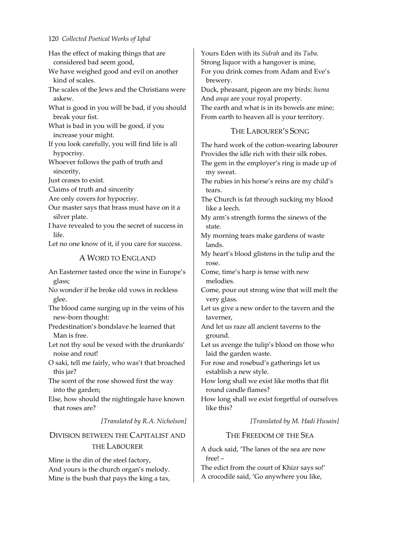Has the effect of making things that are considered bad seem good,

We have weighed good and evil on another kind of scales.

The scales of the Jews and the Christians were askew.

What is good in you will be bad, if you should break your fist.

What is bad in you will be good, if you increase your might.

If you look carefully, you will find life is all hypocrisy.

Whoever follows the path of truth and sincerity,

Just ceases to exist.

Claims of truth and sincerity

Are only covers for hypocrisy.

Our master says that brass must have on it a silver plate.

I have revealed to you the secret of success in life.

Let no one know of it, if you care for success.

### A WORD TO ENGLAND

An Easterner tasted once the wine in Europe's glass;

No wonder if he broke old vows in reckless glee.

The blood came surging up in the veins of his new‐born thought:

Predestination's bondslave he learned that Man is free.

Let not thy soul be vexed with the drunkards' noise and rout!

O saki, tell me fairly, who was't that broached this jar?

The scent of the rose showed first the way into the garden;

Else, how should the nightingale have known that roses are?

*[Translated by R.A. Nicholson]*

# DIVISION BETWEEN THE CAPITALIST AND THE LABOURER

Mine is the din of the steel factory, And yours is the church organ's melody. Mine is the bush that pays the king a tax, Yours Eden with its *Sidrah* and its *Tuba*. Strong liquor with a hangover is mine, For you drink comes from Adam and Eve's brewery.

Duck, pheasant, pigeon are my birds: *huma* And *anqa* are your royal property. The earth and what is in its bowels are mine; From earth to heaven all is your territory.

### THE LABOURER'S SONG

The hard work of the cotton‐wearing labourer Provides the idle rich with their silk robes. The gem in the employer's ring is made up of my sweat.

The rubies in his horse's reins are my child's tears.

The Church is fat through sucking my blood like a leech.

My arm's strength forms the sinews of the state.

My morning tears make gardens of waste lands.

My heart's blood glistens in the tulip and the rose.

Come, time's harp is tense with new melodies.

Come, pour out strong wine that will melt the very glass.

Let us give a new order to the tavern and the taverner,

And let us raze all ancient taverns to the ground.

Let us avenge the tulip's blood on those who laid the garden waste.

For rose and rosebud's gatherings let us establish a new style.

How long shall we exist like moths that flit round candle flames?

How long shall we exist forgetful of ourselves like this?

*[Translated by M. Hadi Husain]*

### THE FREEDOM OF THE SEA

A duck said, 'The lanes of the sea are now free! –

The edict from the court of Khizr says so!' A crocodile said, 'Go anywhere you like,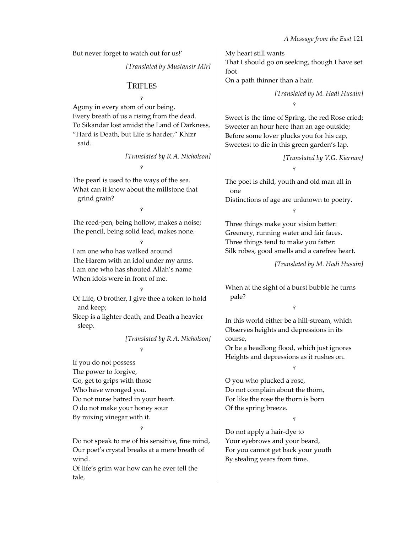But never forget to watch out for us!'

*[Translated by Mustansir Mir]*

# **TRIFLES**

Ÿ

Agony in every atom of our being, Every breath of us a rising from the dead. To Sikandar lost amidst the Land of Darkness, "Hard is Death, but Life is harder," Khizr said.

> *[Translated by R.A. Nicholson]* Ÿ

The pearl is used to the ways of the sea. What can it know about the millstone that grind grain?

The reed-pen, being hollow, makes a noise; The pencil, being solid lead, makes none.

Ÿ

Ÿ I am one who has walked around The Harem with an idol under my arms. I am one who has shouted Allah's name When idols were in front of me.

Ÿ Of Life, O brother, I give thee a token to hold and keep;

Sleep is a lighter death, and Death a heavier sleep.

Ÿ

*[Translated by R.A. Nicholson]*

If you do not possess The power to forgive, Go, get to grips with those Who have wronged you. Do not nurse hatred in your heart. O do not make your honey sour By mixing vinegar with it.

# Ÿ

Do not speak to me of his sensitive, fine mind, Our poet's crystal breaks at a mere breath of wind.

Of life's grim war how can he ever tell the tale,

My heart still wants That I should go on seeking, though I have set foot

On a path thinner than a hair.

*[Translated by M. Hadi Husain]* Ÿ

Sweet is the time of Spring, the red Rose cried; Sweeter an hour here than an age outside; Before some lover plucks you for his cap, Sweetest to die in this green garden's lap.

> *[Translated by V.G. Kiernan]* Ÿ

The poet is child, youth and old man all in one Distinctions of age are unknown to poetry.

Ÿ

Three things make your vision better: Greenery, running water and fair faces. Three things tend to make you fatter: Silk robes, good smells and a carefree heart.

*[Translated by M. Hadi Husain]*

When at the sight of a burst bubble he turns pale?

Ÿ

In this world either be a hill‐stream, which Observes heights and depressions in its course,

Or be a headlong flood, which just ignores Heights and depressions as it rushes on.

Ÿ

O you who plucked a rose, Do not complain about the thorn, For like the rose the thorn is born Of the spring breeze.

Ÿ

Do not apply a hair‐dye to Your eyebrows and your beard, For you cannot get back your youth By stealing years from time.